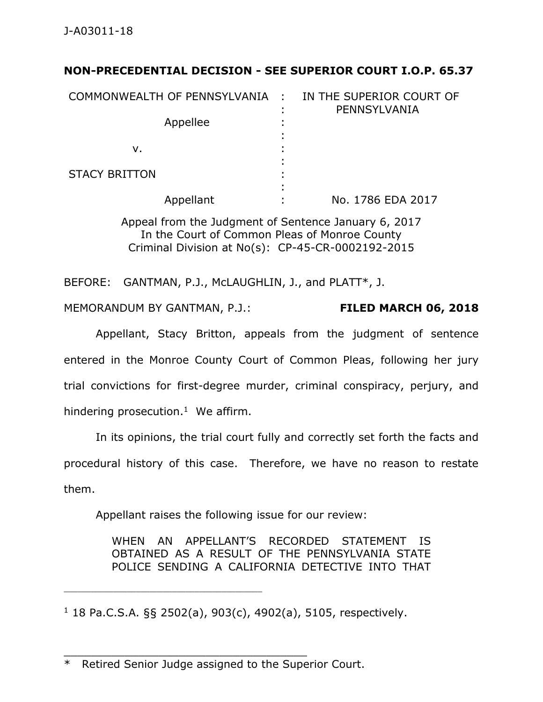# **NON-PRECEDENTIAL DECISION - SEE SUPERIOR COURT I.O.P. 65.37**

| COMMONWEALTH OF PENNSYLVANIA : |        | IN THE SUPERIOR COURT OF<br>PENNSYLVANIA |
|--------------------------------|--------|------------------------------------------|
| Appellee                       | ٠<br>٠ |                                          |
| ν.                             |        |                                          |
| <b>STACY BRITTON</b>           | ٠      |                                          |
| Appellant                      | ٠      | No. 1786 EDA 2017                        |

Appeal from the Judgment of Sentence January 6, 2017 In the Court of Common Pleas of Monroe County Criminal Division at No(s): CP-45-CR-0002192-2015

BEFORE: GANTMAN, P.J., McLAUGHLIN, J., and PLATT\*, J.

MEMORANDUM BY GANTMAN, P.J.: **FILED MARCH 06, 2018**

Appellant, Stacy Britton, appeals from the judgment of sentence entered in the Monroe County Court of Common Pleas, following her jury trial convictions for first-degree murder, criminal conspiracy, perjury, and hindering prosecution.<sup>1</sup> We affirm.

In its opinions, the trial court fully and correctly set forth the facts and procedural history of this case. Therefore, we have no reason to restate them.

Appellant raises the following issue for our review:

WHEN AN APPELLANT'S RECORDED STATEMENT IS OBTAINED AS A RESULT OF THE PENNSYLVANIA STATE POLICE SENDING A CALIFORNIA DETECTIVE INTO THAT

 $1$  18 Pa.C.S.A. §§ 2502(a), 903(c), 4902(a), 5105, respectively.

\_\_\_\_\_\_\_\_\_\_\_\_\_\_\_\_\_\_\_\_\_\_\_\_\_\_\_\_\_\_\_\_\_\_\_\_

\_\_\_\_\_\_\_\_\_\_\_\_\_\_\_\_\_\_\_\_\_\_\_\_\_\_\_\_\_\_\_\_\_\_\_\_\_\_\_\_\_\_\_\_

<sup>\*</sup> Retired Senior Judge assigned to the Superior Court.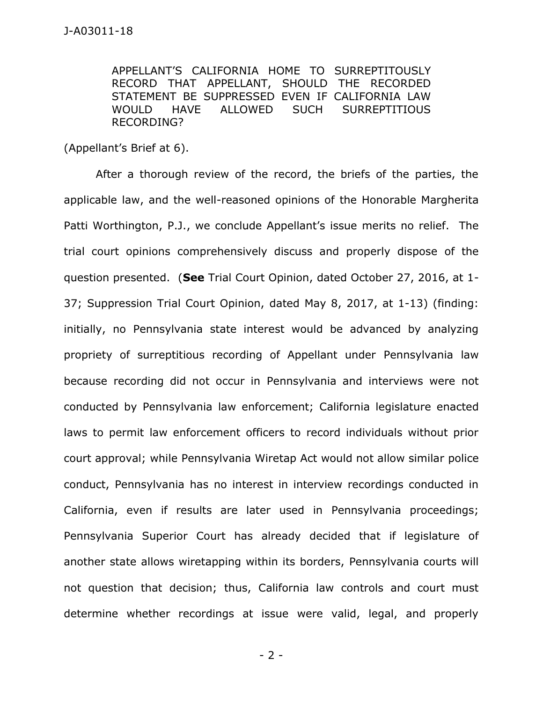APPELLANT'S CALIFORNIA HOME TO SURREPTITOUSLY RECORD THAT APPELLANT, SHOULD THE RECORDED STATEMENT BE SUPPRESSED EVEN IF CALIFORNIA LAW WOULD HAVE ALLOWED SUCH SURREPTITIOUS RECORDING?

(Appellant's Brief at 6).

After a thorough review of the record, the briefs of the parties, the applicable law, and the well-reasoned opinions of the Honorable Margherita Patti Worthington, P.J., we conclude Appellant's issue merits no relief. The trial court opinions comprehensively discuss and properly dispose of the question presented. (**See** Trial Court Opinion, dated October 27, 2016, at 1- 37; Suppression Trial Court Opinion, dated May 8, 2017, at 1-13) (finding: initially, no Pennsylvania state interest would be advanced by analyzing propriety of surreptitious recording of Appellant under Pennsylvania law because recording did not occur in Pennsylvania and interviews were not conducted by Pennsylvania law enforcement; California legislature enacted laws to permit law enforcement officers to record individuals without prior court approval; while Pennsylvania Wiretap Act would not allow similar police conduct, Pennsylvania has no interest in interview recordings conducted in California, even if results are later used in Pennsylvania proceedings; Pennsylvania Superior Court has already decided that if legislature of another state allows wiretapping within its borders, Pennsylvania courts will not question that decision; thus, California law controls and court must determine whether recordings at issue were valid, legal, and properly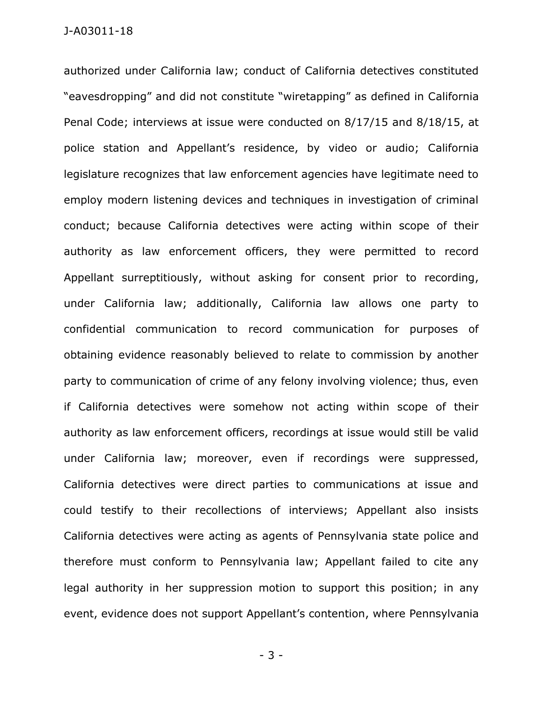authorized under California law; conduct of California detectives constituted "eavesdropping" and did not constitute "wiretapping" as defined in California Penal Code; interviews at issue were conducted on 8/17/15 and 8/18/15, at police station and Appellant's residence, by video or audio; California legislature recognizes that law enforcement agencies have legitimate need to employ modern listening devices and techniques in investigation of criminal conduct; because California detectives were acting within scope of their authority as law enforcement officers, they were permitted to record Appellant surreptitiously, without asking for consent prior to recording, under California law; additionally, California law allows one party to confidential communication to record communication for purposes of obtaining evidence reasonably believed to relate to commission by another party to communication of crime of any felony involving violence; thus, even if California detectives were somehow not acting within scope of their authority as law enforcement officers, recordings at issue would still be valid under California law; moreover, even if recordings were suppressed, California detectives were direct parties to communications at issue and could testify to their recollections of interviews; Appellant also insists California detectives were acting as agents of Pennsylvania state police and therefore must conform to Pennsylvania law; Appellant failed to cite any legal authority in her suppression motion to support this position; in any event, evidence does not support Appellant's contention, where Pennsylvania

- 3 -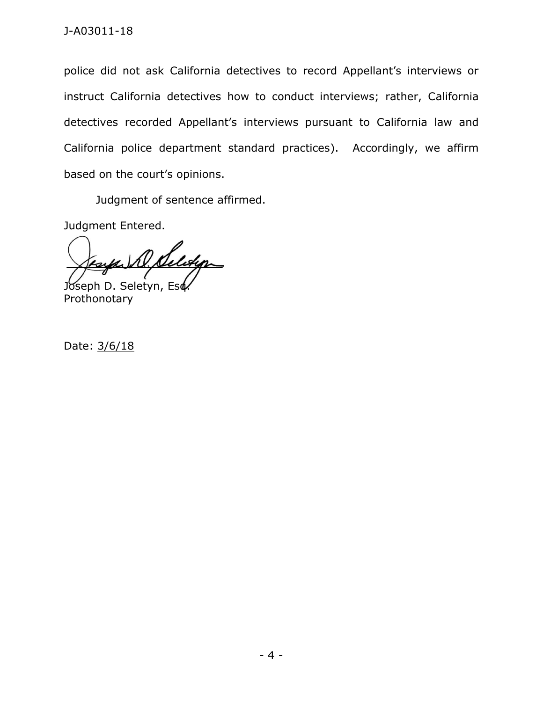police did not ask California detectives to record Appellant's interviews or instruct California detectives how to conduct interviews; rather, California detectives recorded Appellant's interviews pursuant to California law and California police department standard practices). Accordingly, we affirm based on the court's opinions.

Judgment of sentence affirmed.

Judgment Entered.

D. Selveyor Joseph D. Seletyn, Esd

Prothonotary

Date: 3/6/18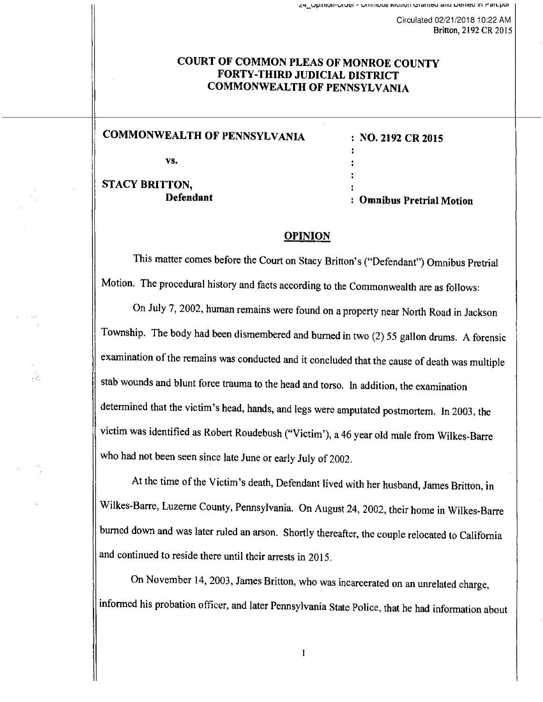44\_Opinion-Order - Ominious ivionon Granted and Denieu in Part.pu

Circulated 02/21/2018 10:22 AM Britton, 2192 CR 2015

# COURT OF COMMON PLEAS OF MONROE COUNTY FORTY-THIRD JUDICIAL DISTRICT COMMONWEALTH OF PENNSYLVANIA

# COMMONWEALTH OF PENNSYLVANIA

vs.

STACY BRITTON, Defendant

 $\omega_{\rm c}$ 

: NO. 2192 CR 2015

: Omnibus Pretrial Motion

## OPINION

This matter comes before the Court on Stacy Britton's ("Defendant") Omnibus Pretrial Motion. The procedural history and facts according to the Commonwealth are as follows:

On July 7, 2002, human remains were found on a property near North Road in Jackson Township. The body had been dismembered and burned in two (2) 55 gallon drums. A forensic examination of the remains was conducted and it concluded that the cause of death was multiple stab wounds and blunt force trauma to the head and torso. In addition, the examination determined that the victim's head, hands, and legs were amputated postmortem. In 2003, the victim was identified as Robert Roudebush ("Victim'), a 46 year old male from Wilkes-Barre who had not been seen since late June or early July of 2002.

At the time of the Victim's death, Defendant lived with her husband, James Britton, in Wilkes-Barre, Luzerne County, Pennsylvania. On August 24, 2002, their home in Wilkes-Barre burned down and was later ruled an arson. Shortly thereafter, the couple relocated to California and continued to reside there until their arrests in 2015.

On November 14, 2003, James Britton, who was incarcerated on an unrelated charge, informed his probation officer, and later Pennsylvania State Police, that he had information about

 $\mathbf{I}$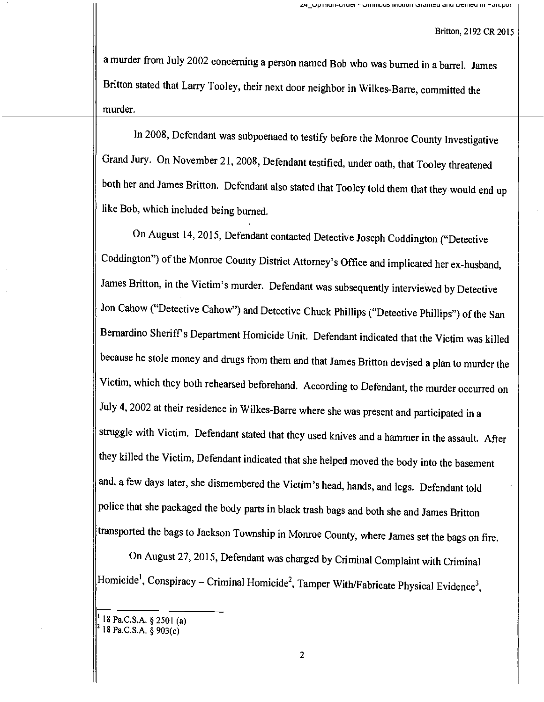<sup>a</sup>murder from July 2002 concerning a person named Bob who was burned in a barrel. James Britton stated that Larry Tooley, their next door neighbor in Wilkes -Bane, committed the murder.

In 2008, Defendant was subpoenaed to testify before the Monroe County Investigative Grand Jury. On November 21, 2008, Defendant testified, under oath, that Tooley threatened both her and James Britton. Defendant also stated that Tooley told them that they would end up like Bob, which included being burned.

On August 14, 2015, Defendant contacted Detective Joseph Coddington ("Detective Coddington") of the Monroe County District Attorney's Office and implicated her ex-husband, James Britton, in the Victim's murder. Defendant was subsequently interviewed by Detective Jon Cahow ("Detective Cahow") and Detective Chuck Phillips ("Detective Phillips") of the San Bernardino Sheriff's Department Homicide Unit. Defendant indicated that the Victim was killed because he stole money and drugs from them and that James Britton devised a plan to murder the Victim, which they both rehearsed beforehand. According to Defendant, the murder occurred on July 4, 2002 at their residence in Wilkes-Barre where she was present and participated in a struggle with Victim. Defendant stated that they used knives and a hammer in the assault. After they killed the Victim, Defendant indicated that she helped moved the body into the basement and, a few days later, she dismembered the Victim's head, hands, and legs. Defendant told police that she packaged the body parts in black trash bags and both she and James Britton transported the bags to Jackson Township in Monroe County, where James set the bags on fire.

On August 27, 2015, Defendant was charged by Criminal Complaint with Criminal  $|$ Homicide<sup>1</sup>, Conspiracy – Criminal Homicide<sup>2</sup>, Tamper With/Fabricate Physical Evidence<sup>3</sup>,

<sup>18</sup> Pa.C.S.A. § 2501 (a) <sup>2</sup>18 Pa.C.S.A. § 903(c)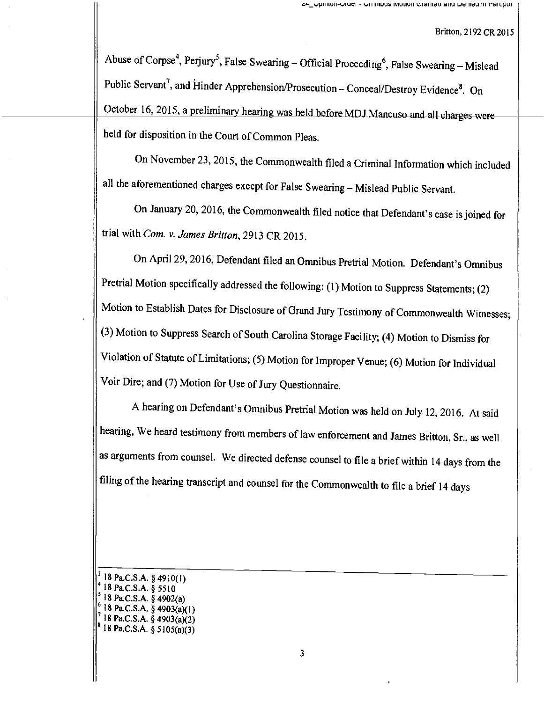Abuse of Corpse<sup>4</sup>, Perjury<sup>5</sup>, False Swearing – Official Proceeding<sup>6</sup>, False Swearing – Mislead Public Servant<sup>7</sup>, and Hinder Apprehension/Prosecution - Conceal/Destroy Evidence<sup>8</sup>. On October 16, 2015, a preliminary hearing was held before MDJ Mancuso and all charges were held for disposition in the Court of Common Pleas.

On November 23, 2015, the Commonwealth filed a Criminal Information which included all the aforementioned charges except for False Swearing - Mislead Public Servant.

On January 20, 2016, the Commonwealth filed notice that Defendant's case is joined for trial with Com. v. James Britton, 2913 CR 2015.

On April 29, 2016, Defendant filed an Omnibus Pretrial Motion. Defendant's Omnibus Pretrial Motion specifically addressed the following: (1) Motion to Suppress Statements; (2) Motion to Establish Dates for Disclosure of Grand Jury Testimony of Commonwealth Witnesses; (3) Motion to Suppress Search of South Carolina Storage Facility; (4) Motion to Dismiss for Violation of Statute of Limitations; (5) Motion for Improper Venue; (6) Motion for Individual Voir Dire; and (7) Motion for Use of Jury Questionnaire.

<sup>A</sup>hearing on Defendant's Omnibus Pretrial Motion was held on July 12, 2016. At said hearing, We heard testimony from members of law enforcement and James Britton, Sr., as well as arguments from counsel. We directed defense counsel to file a brief within 14 days from the filing of the hearing transcript and counsel for the Commonwealth to file a brief 14 days

- <sup>6</sup>18 Pa.C.S.A. § 4903(a)(I)
- 18 Pa.C.S.A. § 4903(a)(2) <sup>8</sup>18 Pa.C.S.A. § 5105(a)(3)
	-

<sup>18</sup> Pa.C.S.A. § 4910(I) <sup>4</sup>18 Pa.C.S.A. § 5510

<sup>5</sup> 18 Pa.C.S.A. § 4902(a)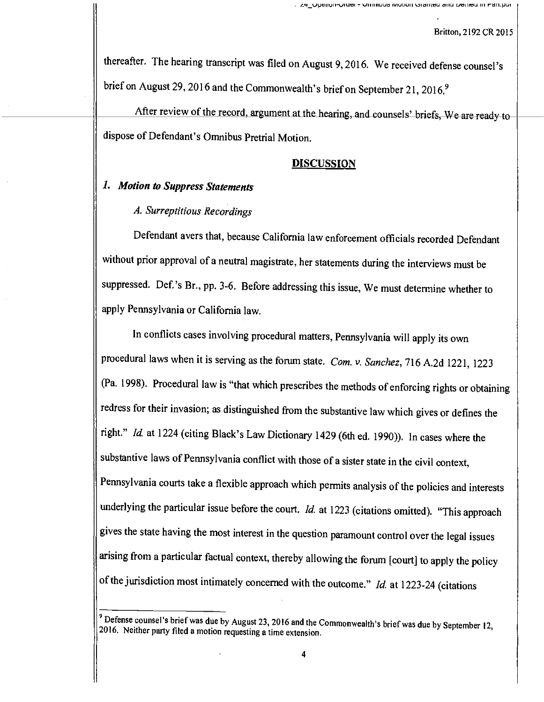thereafter. The hearing transcript was filed on August 9, 2016. We received defense counsel's brief on August 29, 2016 and the Commonwealth's brief on September 21, 2016.<sup>9</sup>

After review of the record, argument at the hearing, and counsels' briefs, We are ready todispose of Defendant's Omnibus Pretrial Motion.

## DISCUSSION

# 1. Motion to Suppress Statements

## A. Surreptitious Recordings

Defendant avers that, because California law enforcement officials recorded Defendant without prior approval of a neutral magistrate, her statements during the interviews must be suppressed. Def.'s Br., pp. 3-6. Before addressing this issue, We must determine whether to apply Pennsylvania or California law.

In conflicts cases involving procedural matters, Pennsylvania will apply its own procedural laws when it is serving as the forum state. Com. v. Sanchez, 716 A.2d 1221, <sup>1223</sup> (Pa. 1998). Procedural law is "that which prescribes the methods of enforcing rights or obtaining redress for their invasion; as distinguished from the substantive law which gives or defines the right." Id. at 1224 (citing Black's Law Dictionary 1429 (6th ed. 1990)). In cases where the substantive laws of Pennsylvania conflict with those of a sister state in the civil context, Pennsylvania courts take a flexible approach which permits analysis of the policies and interests underlying the particular issue before the court. Id. at 1223 (citations omitted). "This approach gives the state having the most interest in the question paramount control over the legal issues arising from a particular factual context, thereby allowing the forum [court] to apply the policy of the jurisdiction most intimately concerned with the outcome." Id. at 1223-24 (citations

<sup>&</sup>lt;sup>9</sup> Defense counsel's brief was due by August 23, 2016 and the Commonwealth's brief was due by September 12, 2016. Neither party filed a motion requesting a time extension.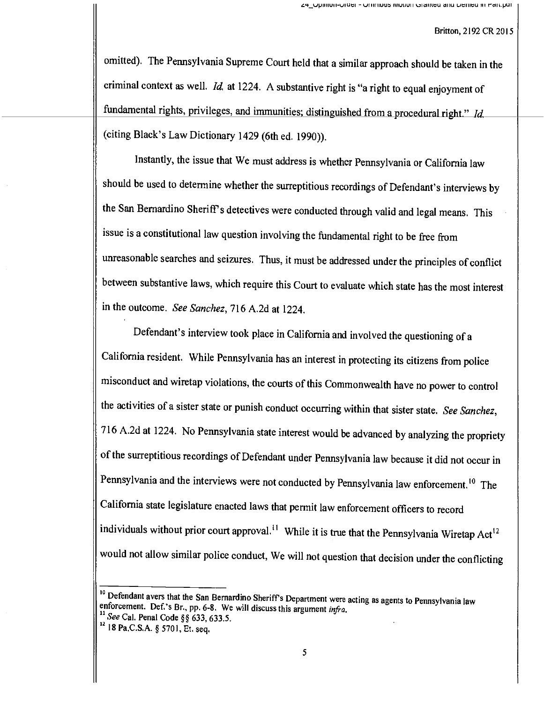omitted). The Pennsylvania Supreme Court held that a similar approach should be taken in the criminal context as well. *Id.* at 1224. A substantive right is "a right to equal enjoyment of fundamental rights, privileges, and immunities; distinguished from a procedural right." Id. (citing Black's Law Dictionary 1429 (6th ed. 1990)).

Instantly, the issue that We must address is whether Pennsylvania or California law should be used to determine whether the surreptitious recordings of Defendant's interviews by the San Bernardino Sheriff's detectives were conducted through valid and legal means. This issue is a constitutional law question involving the fundamental right to be free from unreasonable searches and seizures. Thus, it must be addressed under the principles of conflict between substantive laws, which require this Court to evaluate which state has the most interest in the outcome. See Sanchez, 716 A.2d at 1224.

Defendant's interview took place in California and involved the questioning of <sup>a</sup> California resident. While Pennsylvania has an interest in protecting its citizens from police misconduct and wiretap violations, the courts of this Commonwealth have no power to control the activities of a sister state or punish conduct occurring within that sister state. See Sanchez, <sup>716</sup>A.2d at 1224. No Pennsylvania state interest would be advanced by analyzing the propriety of the surreptitious recordings of Defendant under Pennsylvania law because it did not occur in Pennsylvania and the interviews were not conducted by Pennsylvania law enforcement.<sup>10</sup> The California state legislature enacted laws that permit law enforcement officers to record individuals without prior court approval.<sup>11</sup> While it is true that the Pennsylvania Wiretap Act<sup>12</sup> would not allow similar police conduct, We will not question that decision under the conflicting

<sup>&</sup>lt;sup>10</sup> Defendant avers that the San Bernardino Sheriff's Department were acting as agents to Pennsylvania law enforcement. Def.'s Br., pp. 6-8. We will discuss this argument *infra*. "See Cal. Penal Code §§ 633, 633.5.

<sup>&</sup>lt;sup>12</sup> 18 Pa.C.S.A. § 5701, Et. seq.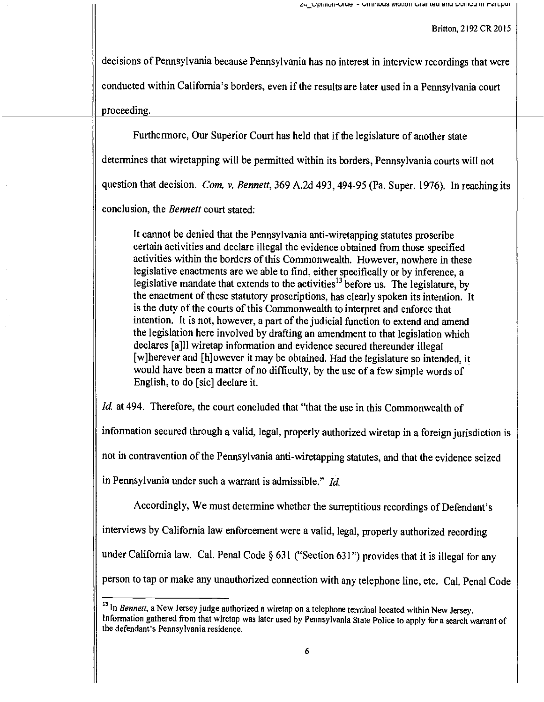decisions of Pennsylvania because Pennsylvania has no interest in interview recordings that were conducted within California's borders, even if the results are later used in a Pennsylvania court proceeding.

Furthermore, Our Superior Court has held that if the legislature of another state

determines that wiretapping will be permitted within its borders, Pennsylvania courts will not

question that decision. Com. v. Bennett, 369 A.2d 493, 494-95 (Pa. Super. 1976). In reaching its

conclusion, the *Bennett* court stated:

It cannot be denied that the Pennsylvania anti-wiretapping statutes proscribe certain activities and declare illegal the evidence obtained from those specified activities within the borders of this Commonwealth. However, nowhere in these legislative enactments are we able to find, either specifically or by inference, a legislative mandate that extends to the activities<sup>13</sup> before us. The legislature, by the enactment of these statutory proscriptions, has clearly spoken its intention. It is the duty of the courts of this Commonwealth to interpret and enforce that intention. It is not, however, a part of the judicial function to extend and amend the legislation here involved by drafting an amendment to that legislation which declares [a]l] wiretap information and evidence secured thereunder illegal [w]herever and [h]owever it may be obtained. Had the legislature so intended, it would have been a matter of no difficulty, by the use of a few simple words of English, to do [sic] declare it.

Id. at 494. Therefore, the court concluded that "that the use in this Commonwealth of

information secured through a valid, legal, properly authorized wiretap in a foreign jurisdiction is

not in contravention of the Pennsylvania anti -wiretapping statutes, and that the evidence seized

in Pennsylvania under such a warrant is admissible." Id.

Accordingly, We must determine whether the surreptitious recordings of Defendant's interviews by California law enforcement were a valid, legal, properly authorized recording under California law. Cal. Penal Code § 631 ("Section 631") provides that it is illegal for any person to tap or make any unauthorized connection with any telephone line, etc. Cal. Penal Code

<sup>&</sup>lt;sup>13</sup> In Bennett, a New Jersey judge authorized a wiretap on a telephone terminal located within New Jersey. Information gathered from that wiretap was later used by Pennsylvania State Police to apply for a search warrant of the defendant's Pennsylvania residence.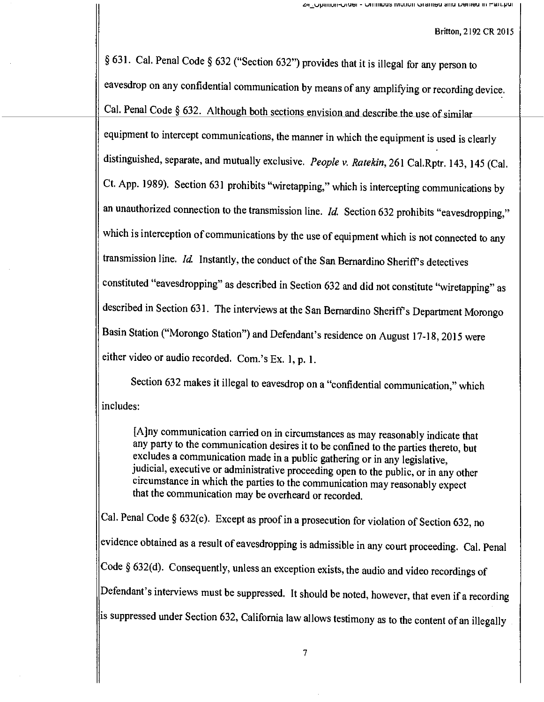§ 631. Cal. Penal Code § 632 ("Section 632") provides that it is illegal for any person to eavesdrop on any confidential communication by means of any amplifying or recording device. Cal. Penal Code  $\S$  632. Although both sections envision and describe the use of similar equipment to intercept communications, the manner in which the equipment is used is clearly distinguished, separate, and mutually exclusive. People v. Ratekin, 261 Cal.Rptr. 143, 145 (Cal. Ct. App. 1989). Section 631 prohibits "wiretapping," which is intercepting communications by an unauthorized connection to the transmission line.  $Id$ . Section 632 prohibits "eavesdropping," which is interception of communications by the use of equipment which is not connected to any transmission line.  $Id$ . Instantly, the conduct of the San Bernardino Sheriff's detectives constituted "eavesdropping" as described in Section 632 and did not constitute "wiretapping" as described in Section 631. The interviews at the San Bernardino Sheriff's Department Morongo Basin Station ("Morongo Station") and Defendant's residence on August 17-18, 2015 were either video or audio recorded. Com.'s Ex. 1, p. 1.

Section 632 makes it illegal to eavesdrop on a "confidential communication," which includes:

[A]ny communication carried on in circumstances as may reasonably indicate that any party to the communication desires it to be confined to the parties thereto, but excludes a communication made in a public gathering or in any legislative, judicial, executive or administrative proceeding open to the public, or in any other circumstance in which the parties to the communication may reasonably expect that the communication may be overheard or recorded.

Cal. Penal Code § 632(c). Except as proof in a prosecution for violation of Section 632, no evidence obtained as a result of eavesdropping is admissible in any court proceeding. Cal. Penal Code § 632(d). Consequently, unless an exception exists, the audio and video recordings of Defendant's interviews must be suppressed. It should be noted, however, that even if a recording is suppressed under Section 632, California law allows testimony as to the content of an illegally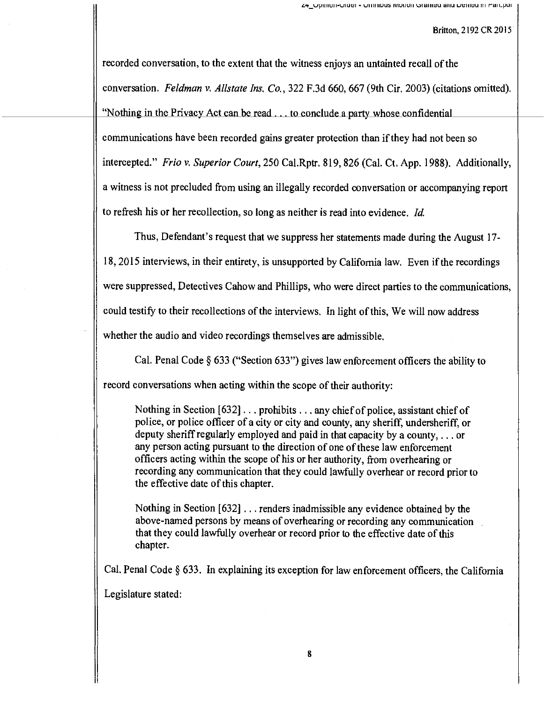recorded conversation, to the extent that the witness enjoys an untainted recall of the conversation. Feldman v. Allstate Ins. Co., 322 F,3d 660, 667 (9th Cir. 2003) (citations omitted). "Nothing in the Privacy Act can be read . . . to conclude a party whose confidential communications have been recorded gains greater protection than if they had not been so intercepted." Frio v. Superior Court, 250 Cal.Rptr. 819, 826 (Cal. Ct. App. 1988). Additionally, a witness is not precluded from using an illegally recorded conversation or accompanying report to refresh his or her recollection, so long as neither is read into evidence. Id.

Thus, Defendant's request that we suppress her statements made during the August 17- 18, 2015 interviews, in their entirety, is unsupported by California law. Even if the recordings were suppressed, Detectives Cahow and Phillips, who were direct parties to the communications, could testify to their recollections of the interviews. In light of this, We will now address whether the audio and video recordings themselves are admissible.

Cal. Penal Code § 633 ("Section 633") gives law enforcement officers the ability to record conversations when acting within the scope of their authority:

Nothing in Section [632] .. . prohibits .. . any chief of police, assistant chief of police, or police officer of a city or city and county, any sheriff, undersheriff, or deputy sheriff regularly employed and paid in that capacity by a county, ... or any person acting pursuant to the direction of one of these law enforcement officers acting within the scope of his or her authority, from overhearing or recording any communication that they could lawfully overhear or record prior to the effective date of this chapter.

Nothing in Section [632] . .. renders inadmissible any evidence obtained by the above -named persons by means of overhearing or recording any communication that they could lawfully overhear or record prior to the effective date of this chapter.

Cal. Penal Code § 633. In explaining its exception for law enforcement officers, the California Legislature stated: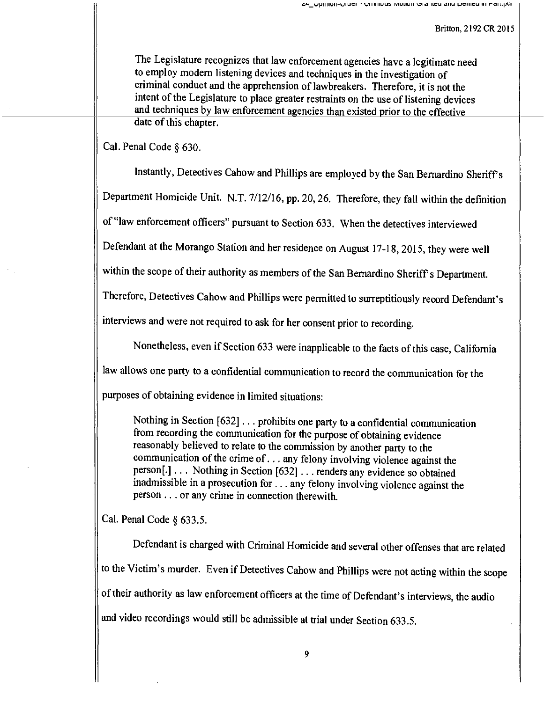The Legislature recognizes that law enforcement agencies have a legitimate need to employ modern listening devices and techniques in the investigation of criminal conduct and the apprehension of lawbreakers. Therefore, it is not the intent of the Legislature to place greater restraints on the use of listening devices and techniques by law enforcement agencies than existed prior to the effective date of this chapter.

Cal. Penal Code § 630.

Instantly, Detectives Cahow and Phillips are employed by the San Bernardino Sheriff's

Department Homicide Unit. N.T. 7/12/16, pp. 20, 26. Therefore, they fall within the definition

of "law enforcement officers" pursuant to Section 633. When the detectives interviewed

Defendant at the Morango Station and her residence on August 17-18, 2015, they were well

within the scope of their authority as members of the San Bernardino Sheriff's Department.

Therefore, Detectives Cahow and Phillips were permitted to surreptitiously record Defendant's

interviews and were not required to ask for her consent prior to recording.

Nonetheless, even if Section 633 were inapplicable to the facts of this case, California

law allows one party to a confidential communication to record the communication for the

purposes of obtaining evidence in limited situations:

Nothing in Section [632] . . prohibits one party to a confidential communication from recording the communication for the purpose of obtaining evidence reasonably believed to relate to the commission by another party to the communication of the crime of .. . any felony involving violence against the person[.] . . . Nothing in Section [632] .. . renders any evidence so obtained inadmissible in a prosecution for .. . any felony involving violence against the person .. . or any crime in connection therewith.

Cal. Penal Code § 633.5.

Defendant is charged with Criminal Homicide and several other offenses that are related to the Victim's murder. Even if Detectives Cahow and Phillips were not acting within the scope of their authority as law enforcement officers at the time of Defendant's interviews, the audio and video recordings would still be admissible at trial under Section 633.5.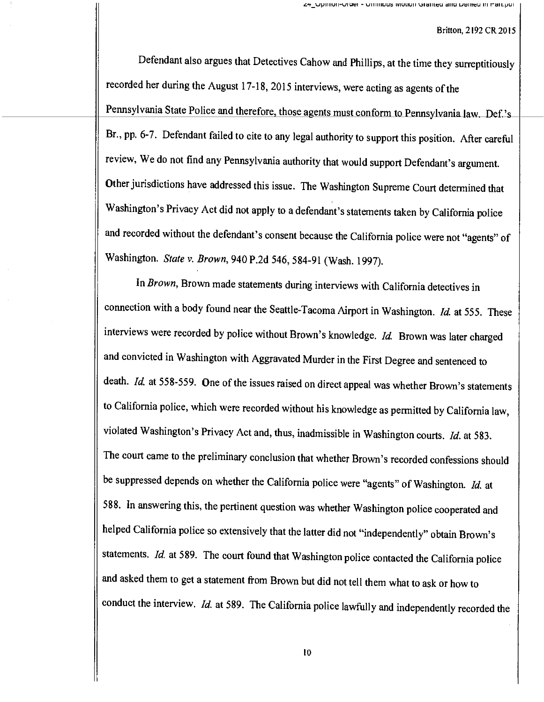Defendant also argues that Detectives Cahow and Phillips, at the time they surreptitiously recorded her during the August 17-18, 2015 interviews, were acting as agents of the Pennsylvania State Police and therefore, those agents must conform to Pennsylvania law. Def.'s-Br., pp. 6-7. Defendant failed to cite to any legal authority to support this position. After careful review, We do not find any Pennsylvania authority that would support Defendant's argument. Other jurisdictions have addressed this issue. The Washington Supreme Court determined that Washington's Privacy Act did not apply to a defendant's statements taken by California police and recorded without the defendant's consent because the California police were not "agents" of Washington. State v. Brown, 940 P.2d 546, 584-91 (Wash. 1997).

In Brown, Brown made statements during interviews with California detectives in connection with a body found near the Seattle-Tacoma Airport in Washington. Id. at 555. These interviews were recorded by police without Brown's knowledge. Id. Brown was later charged and convicted in Washington with Aggravated Murder in the First Degree and sentenced to death. Id. at 558-559. One of the issues raised on direct appeal was whether Brown's statements to California police, which were recorded without his knowledge as permitted by California law, violated Washington's Privacy Act and, thus, inadmissible in Washington courts. Id. at 583. The court came to the preliminary conclusion that whether Brown's recorded confessions should be suppressed depends on whether the California police were "agents" of Washington. Id. at 588. In answering this, the pertinent question was whether Washington police cooperated and helped California police so extensively that the latter did not "independently" obtain Brown's statements. Id. at 589. The court found that Washington police contacted the California police and asked them to get a statement from Brown but did not tell them what to ask or how to conduct the interview. Id. at 589. The California police lawfully and independently recorded the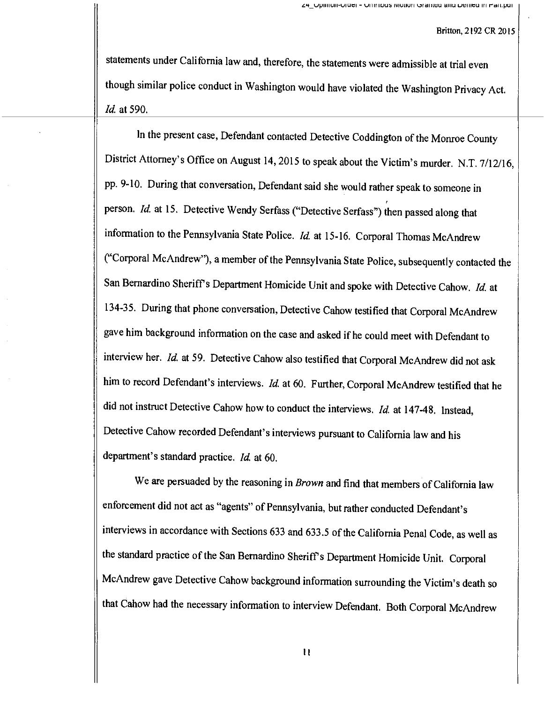statements under California law and, therefore, the statements were admissible at trial even though similar police conduct in Washington would have violated the Washington Privacy Act. Id. at 590.

In the present case, Defendant contacted Detective Coddington of the Monroe County District Attorney's Office on August 14, 2015 to speak about the Victim's murder. N.T. 7/12/16, pp. 9-10. During that conversation, Defendant said she would rather speak to someone in person. Id. at 15. Detective Wendy Serfass ("Detective Serfass") then passed along that information to the Pennsylvania State Police.  $Id$  at 15-16. Corporal Thomas McAndrew ("Corporal McAndrew"), a member of the Pennsylvania State Police, subsequently contacted the San Bernardino Sheriff's Department Homicide Unit and spoke with Detective Cahow. Id. at 134-35. During that phone conversation, Detective Cahow testified that Corporal McAndrew gave him background information on the case and asked if he could meet with Defendant to interview her. Id. at 59. Detective Cahow also testified that Corporal McAndrew did not ask him to record Defendant's interviews. Id. at 60. Further, Corporal McAndrew testified that he did not instruct Detective Cahow how to conduct the interviews. Id. at 147-48. Instead, Detective Cahow recorded Defendant's interviews pursuant to California law and his department's standard practice. Id. at 60.

We are persuaded by the reasoning in Brown and find that members of California law enforcement did not act as "agents" of Pennsylvania, but rather conducted Defendant's interviews in accordance with Sections 633 and 633.5 of the California Penal Code, as well as the standard practice of the San Bernardino Sheriff's Department Homicide Unit. Corporal McAndrew gave Detective Cahow background information surrounding the Victim's death so that Cahow had the necessary information to interview Defendant. Both Corporal McAndrew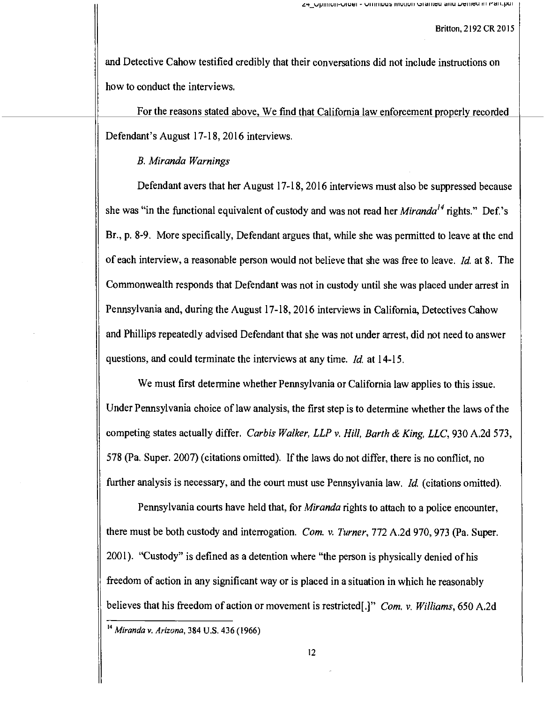and Detective Cahow testified credibly that their conversations did not include instructions on how to conduct the interviews.

For the reasons stated above, We find that California law enforcement properly recorded Defendant's August 17-18, 2016 interviews.

## B. Miranda Warnings

Defendant avers that her August 17-18, 2016 interviews must also be suppressed because she was "in the functional equivalent of custody and was not read her *Miranda<sup>14</sup>* rights." Def.'s Br., p. 8-9. More specifically, Defendant argues that, while she was permitted to leave at the end of each interview, a reasonable person would not believe that she was free to leave. Id. at 8. The Commonwealth responds that Defendant was not in custody until she was placed under arrest in Pennsylvania and, during the August 17-18, 2016 interviews in California, Detectives Cahow and Phillips repeatedly advised Defendant that she was not under arrest, did not need to answer questions, and could terminate the interviews at any time. Id. at 14-15.

We must first determine whether Pennsylvania or California law applies to this issue. Under Pennsylvania choice of law analysis, the first step is to determine whether the laws of the competing states actually differ. Carbis Walker, LLP v. Hill, Barth & King, LLC, 930 A.2d 573, 578 (Pa. Super. 2007) (citations omitted). If the laws do not differ, there is no conflict, no further analysis is necessary, and the court must use Pennsylvania law. Id. (citations omitted).

Pennsylvania courts have held that, for *Miranda* rights to attach to a police encounter, there must be both custody and interrogation. Com. v. Turner, 772 A.2d 970, 973 (Pa. Super. 2001). "Custody" is defined as a detention where "the person is physically denied of his freedom of action in any significant way or is placed in a situation in which he reasonably believes that his freedom of action or movement is restricted[.]" Com. v. Williams, 650 A.2d

<sup>&</sup>lt;sup>14</sup> Miranda v. Arizona, 384 U.S. 436 (1966)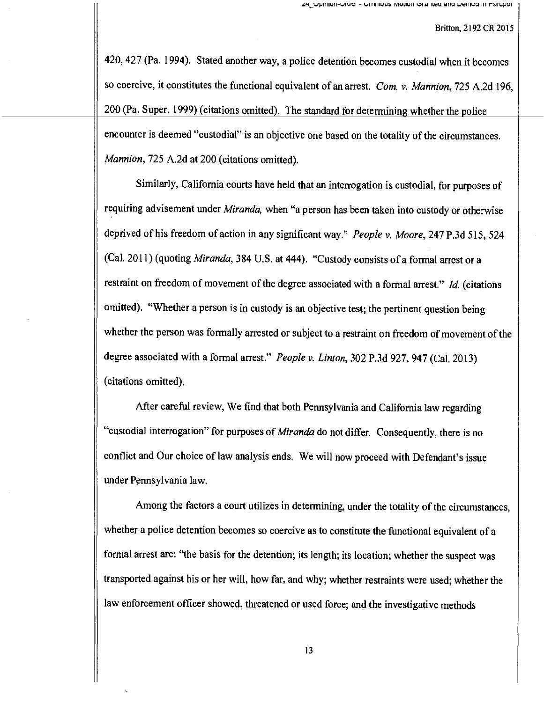420, 427 (Pa. 1994). Stated another way, a police detention becomes custodial when it becomes so coercive, it constitutes the functional equivalent of an arrest. Com. v. Mannion, 725 A.2d 196, 200 (Pa. Super. 1999) (citations omitted). The standard for determining whether the police encounter is deemed "custodial" is an objective one based on the totality of the circumstances. Mannion, 725 A.2d at 200 (citations omitted).

Similarly, California courts have held that an interrogation is custodial, for purposes of requiring advisement under Miranda, when "a person has been taken into custody or otherwise deprived of his freedom of action in any significant way." People v. Moore, 247 P.3d 515, 524 (Cal. 2011) (quoting Miranda, 384 U.S. at 444). "Custody consists of a formal arrest or a restraint on freedom of movement of the degree associated with a formal arrest."  $Id$ . (citations omitted). "Whether a person is in custody is an objective test; the pertinent question being whether the person was formally arrested or subject to a restraint on freedom of movement of the degree associated with a formal arrest." People v. Linton, 302 P.3d 927, 947 (Cal. 2013) (citations omitted).

After careful review, We find that both Pennsylvania and California law regarding "custodial interrogation" for purposes of *Miranda* do not differ. Consequently, there is no conflict and Our choice of law analysis ends. We will now proceed with Defendant's issue under Pennsylvania law.

Among the factors a court utilizes in determining, under the totality of the circumstances, whether a police detention becomes so coercive as to constitute the functional equivalent of a formal arrest are: "the basis for the detention; its length; its location; whether the suspect was transported against his or her will, how far, and why; whether restraints were used; whether the law enforcement officer showed, threatened or used force; and the investigative methods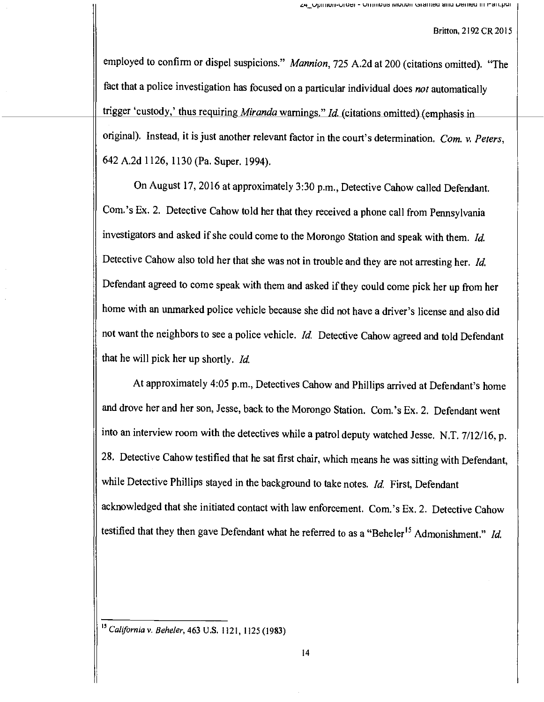employed to confirm or dispel suspicions." Mannion, 725 A.2d at 200 (citations omitted). "The fact that a police investigation has focused on a particular individual does not automatically trigger 'custody,' thus requiring Miranda warnings." Id. (citations omitted) (emphasis in original). Instead, it is just another relevant factor in the court's determination. Com. v. Peters, 642 A.2d 1126, 1130 (Pa. Super. 1994).

On August 17, 2016 at approximately 3:30 p.m., Detective Cahow called Defendant. Com.'s Ex. 2. Detective Cahow told her that they received a phone call from Pennsylvania investigators and asked if she could come to the Morongo Station and speak with them. Id. Detective Cahow also told her that she was not in trouble and they are not arresting her. Id. Defendant agreed to come speak with them and asked if they could come pick her up from her home with an unmarked police vehicle because she did not have a driver's license and also did not want the neighbors to see a police vehicle. Id. Detective Cahow agreed and told Defendant that he will pick her up shortly. Id.

At approximately 4:05 p.m., Detectives Cahow and Phillips arrived at Defendant's home and drove her and her son, Jesse, back to the Morongo Station. Com.'s Ex. 2. Defendant went into an interview room with the detectives while a patrol deputy watched Jesse. N.T. 7/12/16, p. 28. Detective Cahow testified that he sat first chair, which means he was sitting with Defendant, while Detective Phillips stayed in the background to take notes. Id. First, Defendant acknowledged that she initiated contact with law enforcement. Com.'s Ex. 2. Detective Cahow testified that they then gave Defendant what he referred to as a "Beheler<sup>15</sup> Admonishment." *Id.* 

<sup>&</sup>lt;sup>15</sup> California v. Beheler, 463 U.S. 1121, 1125 (1983)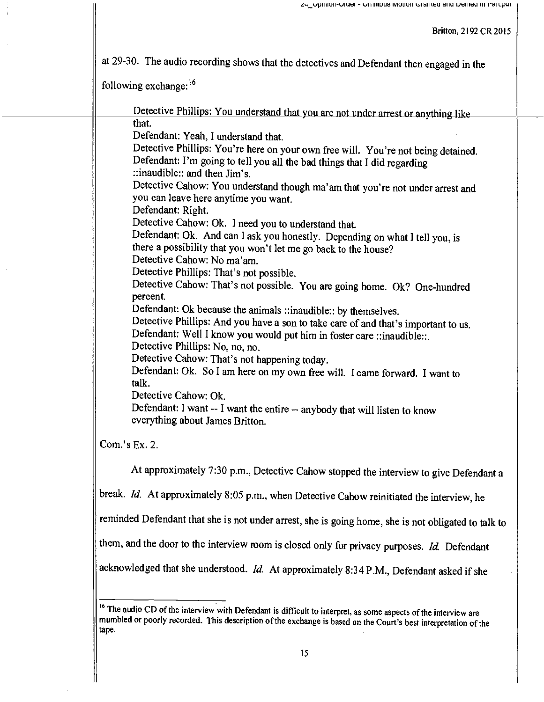at 29-30. The audio recording shows that the detectives and Defendant then engaged in the

following exchange:16

Detective Phillips: You understand that you are not under arrest or anything like that. Defendant: Yeah, I understand that. Detective Phillips: You're here on your own free will. You're not being detained. Defendant: I'm going to tell you all the bad things that I did regarding ::inaudible:: and then Jim's. Detective Cahow: You understand though ma'am that you're not under arrest and you can leave here anytime you want. Defendant: Right. Detective Cahow: Ok. I need you to understand that. Defendant: Ok. And can I ask you honestly. Depending on what I tell you, is there a possibility that you won't let me go back to the house? Detective Cahow: No ma'am. Detective Phillips: That's not possible. Detective Cahow: That's not possible. You are going home. Ok? One -hundred percent. Defendant: Ok because the animals ::inaudible:: by themselves. Detective Phillips: And you have a son to take care of and that's important to us. Defendant: Well I know you would put him in foster care ::inaudible::. Detective Phillips: No, no, no. Detective Cahow: That's not happening today. Defendant: Ok. So I am here on my own free will. I came forward. I want to talk. Detective Cahow: Ok. Defendant: I want -- I want the entire -- anybody that will listen to know everything about James Britton.

Com.'s Ex. 2.

At approximately 7:30 p.m., Detective Cahow stopped the interview to give Defendant <sup>a</sup>

break. Id. At approximately 8:05 p.m., when Detective Cahow reinitiated the interview, he

reminded Defendant that she is not under arrest, she is going home, she is not obligated to talk to

them, and the door to the interview room is closed only for privacy purposes. Id. Defendant

acknowledged that she understood. Id. At approximately 8:34 P.M., Defendant asked if she

<sup>&</sup>lt;sup>16</sup> The audio CD of the interview with Defendant is difficult to interpret, as some aspects of the interview are mumbled or poorly recorded. This description of the exchange is based on the Court's best interpretation of tape.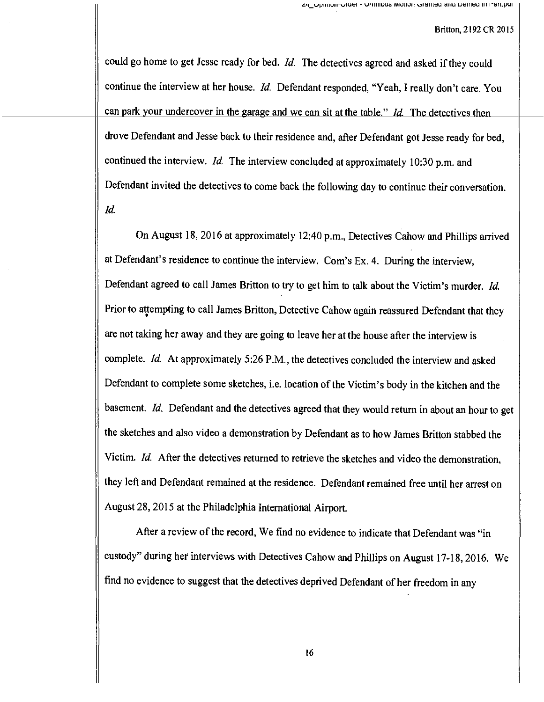could go home to get Jesse ready for bed. Id. The detectives agreed and asked if they could continue the interview at her house. Id. Defendant responded, "Yeah, I really don't care. You can park your undercover in the garage and we can sit at the table." Id. The detectives then drove Defendant and Jesse back to their residence and, after Defendant got Jesse ready for bed, continued the interview. Id. The interview concluded at approximately 10:30 p.m. and Defendant invited the detectives to come back the following day to continue their conversation. Id.

On August 18, 2016 at approximately 12:40 p.m., Detectives Cahow and Phillips arrived at Defendant's residence to continue the interview. Com's Ex. 4. During the interview, Defendant agreed to call James Britton to try to get him to talk about the Victim's murder. Id. Prior to attempting to call James Britton, Detective Cahow again reassured Defendant that they are not taking her away and they are going to leave her at the house after the interview is complete. Id. At approximately 5:26 P.M., the detectives concluded the interview and asked Defendant to complete some sketches, i.e. location of the Victim's body in the kitchen and the basement. Id. Defendant and the detectives agreed that they would return in about an hour to get the sketches and also video a demonstration by Defendant as to how James Britton stabbed the Victim. Id. After the detectives returned to retrieve the sketches and video the demonstration, they left and Defendant remained at the residence. Defendant remained free until her arrest on August 28, 2015 at the Philadelphia International Airport.

After a review of the record, We find no evidence to indicate that Defendant was "in custody" during her interviews with Detectives Cahow and Phillips on August 17-18, 2016. We find no evidence to suggest that the detectives deprived Defendant of her freedom in any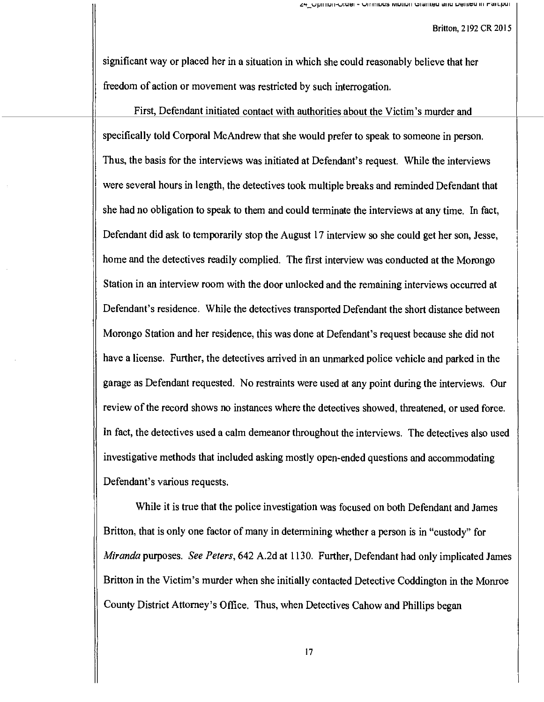significant way or placed her in a situation in which she could reasonably believe that her freedom of action or movement was restricted by such interrogation.

First, Defendant initiated contact with authorities about the Victim's murder and specifically told Corporal McAndrew that she would prefer to speak to someone in person. Thus, the basis for the interviews was initiated at Defendant's request. While the interviews were several hours in length, the detectives took multiple breaks and reminded Defendant that she had no obligation to speak to them and could terminate the interviews at any time. In fact, Defendant did ask to temporarily stop the August 17 interview so she could get her son, Jesse, home and the detectives readily complied. The first interview was conducted at the Morongo Station in an interview room with the door unlocked and the remaining interviews occurred at Defendant's residence. While the detectives transported Defendant the short distance between Morongo Station and her residence, this was done at Defendant's request because she did not have a license. Further, the detectives arrived in an unmarked police vehicle and parked in the garage as Defendant requested. No restraints were used at any point during the interviews. Our review of the record shows no instances where the detectives showed, threatened, or used force. In fact, the detectives used a calm demeanor throughout the interviews. The detectives also used investigative methods that included asking mostly open-ended questions and accommodating Defendant's various requests.

While it is true that the police investigation was focused on both Defendant and James Britton, that is only one factor of many in determining whether a person is in "custody" for Miranda purposes. See Peters, 642 A.2d at 1130. Further, Defendant had only implicated James Britton in the Victim's murder when she initially contacted Detective Coddington in the Monroe County District Attorney's Office. Thus, when Detectives Cahow and Phillips began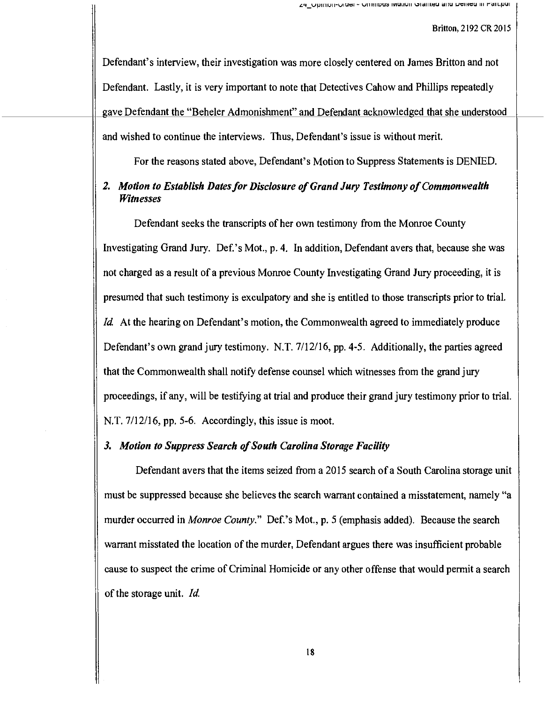Defendant's interview, their investigation was more closely centered on James Britton and not Defendant. Lastly, it is very important to note that Detectives Cahow and Phillips repeatedly gave Defendant the "Beheler Admonishment" and Defendant acknowledged that she understood and wished to continue the interviews. Thus, Defendant's issue is without merit.

For the reasons stated above, Defendant's Motion to Suppress Statements is DENIED.

# 2. Motion to Establish Dates for Disclosure of Grand Jury Testimony of Commonwealth Witnesses

Defendant seeks the transcripts of her own testimony from the Monroe County Investigating Grand Jury. Def.'s Mot., p. 4. In addition, Defendant avers that, because she was not charged as a result of a previous Monroe County Investigating Grand Jury proceeding, it is presumed that such testimony is exculpatory and she is entitled to those transcripts prior to trial. Id. At the hearing on Defendant's motion, the Commonwealth agreed to immediately produce Defendant's own grand jury testimony. N.T. 7/12/16, pp. 4-5. Additionally, the parties agreed that the Commonwealth shall notify defense counsel which witnesses from the grand jury proceedings, if any, will be testifying at trial and produce their grand jury testimony prior to trial. N.T. 7/12/16, pp. 5-6. Accordingly, this issue is moot.

# 3. Motion to Suppress Search of South Carolina Storage Facility

Defendant avers that the items seized from a 2015 search of a South Carolina storage unit must be suppressed because she believes the search warrant contained a misstatement, namely "a murder occurred in Monroe County." Def.'s Mot., p. 5 (emphasis added). Because the search warrant misstated the location of the murder, Defendant argues there was insufficient probable cause to suspect the crime of Criminal Homicide or any other offense that would permit a search of the storage unit. Id.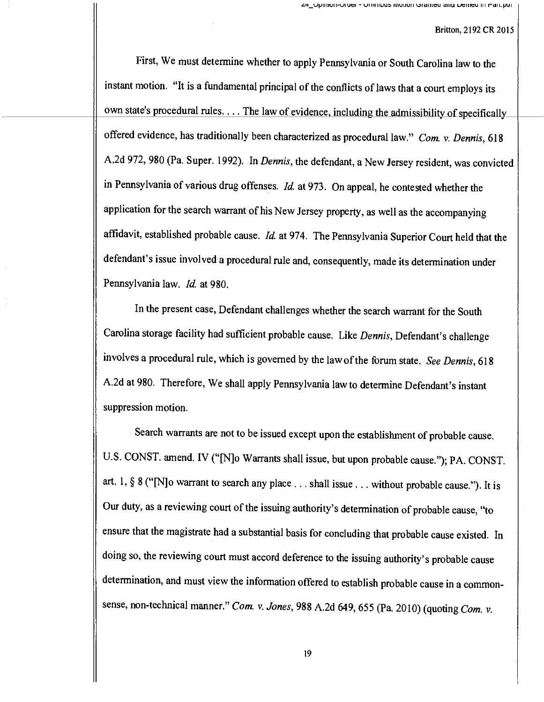First, We must determine whether to apply Pennsylvania or South Carolina law to the instant motion. "It is a fundamental principal of the conflicts of laws that a court employs its own state's procedural rules.... The law of evidence, including the admissibility of specifically offered evidence, has traditionally been characterized as procedural law." Com. v. Dennis, 618 A.2d 972, 980 (Pa. Super. 1992). In Dennis, the defendant, a New Jersey resident, was convicted in Pennsylvania of various drug offenses.  $Id$  at 973. On appeal, he contested whether the application for the search warrant of his New Jersey property, as well as the accompanying affidavit, established probable cause. Id. at 974. The Pennsylvania Superior Court held that the defendant's issue involved a procedural rule and, consequently, made its determination under Pennsylvania law. Id. at 980.

In the present case, Defendant challenges whether the search warrant for the South Carolina storage facility had sufficient probable cause. Like Dennis, Defendant's challenge involves a procedural rule, which is governed by the law of the forum state. See Dennis, <sup>618</sup> A.2d at 980. Therefore, We shall apply Pennsylvania law to determine Defendant's instant suppression motion.

Search warrants are not to be issued except upon the establishment of probable cause, U.S. CONST. amend. IV ("[N]o Warrants shall issue, but upon probable cause."); PA. CONST. art. 1, § 8 ("[N]o warrant to search any place . .. shall issue . .. without probable cause."). It is Our duty, as a reviewing court of the issuing authority's determination of probable cause, "to ensure that the magistrate had a substantial basis for concluding that probable cause existed. In doing so, the reviewing court must accord deference to the issuing authority's probable cause determination, and must view the information offered to establish probable cause in a commonsense, non-technical manner." Com. v. Jones, 988 A.2d 649, 655 (Pa. 2010) (quoting Com. v.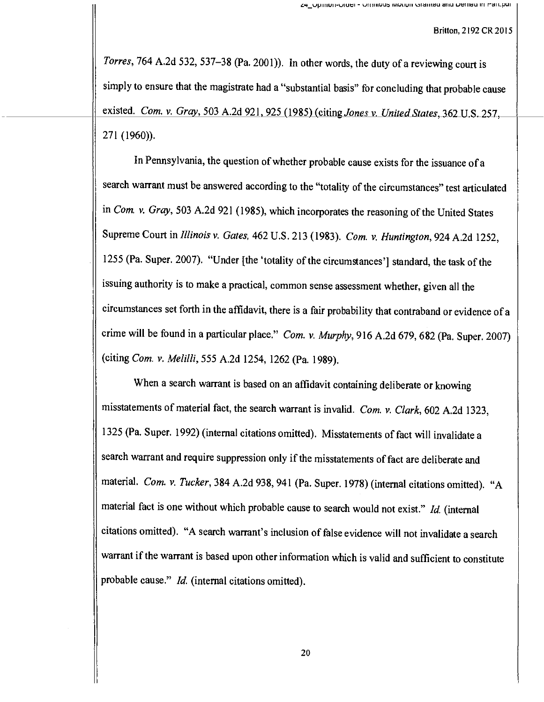Torres, 764 A.2d 532, 537-38 (Pa. 2001)). In other words, the duty of a reviewing court is simply to ensure that the magistrate had a "substantial basis" for concluding that probable cause existed. Com. v. Gray, 503 A.2d 921, 925 (1985) (citing Jones v. United States, 362 U.S. 257, 271 (1960)).

In Pennsylvania, the question of whether probable cause exists for the issuance of <sup>a</sup> search warrant must be answered according to the "totality of the circumstances" test articulated in Com. v. Gray, 503 A.2d 921 (1985), which incorporates the reasoning of the United States Supreme Court in Illinois v. Gates, 462 U.S. 213 (1983). Com. v. Huntington, 924 A.2d 1252, <sup>1255</sup>(Pa. Super. 2007). "Under [the 'totality of the circumstances'] standard, the task of the issuing authority is to make a practical, common sense assessment whether, given all the circumstances set forth in the affidavit, there is a fair probability that contraband or evidence of <sup>a</sup> crime will be found in a particular place." Com. v. Murphy, 916 A.2d 679, 682 (Pa. Super. 2007) (citing Com. v. Melilli, 555 A.2d 1254, 1262 (Pa. 1989).

When a search warrant is based on an affidavit containing deliberate or knowing misstatements of material fact, the search warrant is invalid. Com. v. Clark, 602 A.2d 1323, <sup>1325</sup>(Pa. Super. 1992) (internal citations omitted). Misstatements of fact will invalidate <sup>a</sup> search warrant and require suppression only if the misstatements of fact are deliberate and material. Com. v. Tucker, 384 A.2d 938, 941 (Pa. Super. 1978) (internal citations omitted). "A material fact is one without which probable cause to search would not exist." Id. (internal citations omitted). "A search warrant's inclusion of false evidence will not invalidate a search warrant if the warrant is based upon other information which is valid and sufficient to constitute probable cause." Id. (internal citations omitted).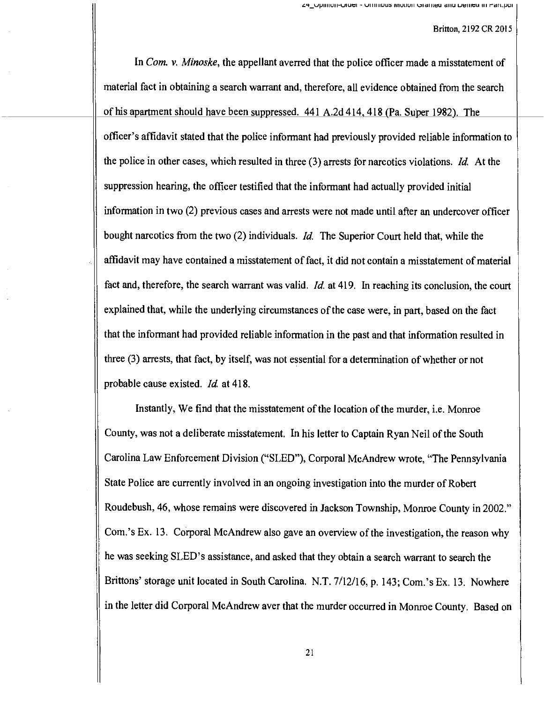In Com. v. Minoske, the appellant averred that the police officer made a misstatement of material fact in obtaining a search warrant and, therefore, all evidence obtained from the search of his apartment should have been suppressed. 441 A.2d 414, 418 (Pa. Super 1982). The officer's affidavit stated that the police informant had previously provided reliable information to the police in other cases, which resulted in three (3) arrests for narcotics violations. Id. At the suppression hearing, the officer testified that the informant had actually provided initial information in two (2) previous cases and arrests were not made until after an undercover officer bought narcotics from the two (2) individuals. *Id.* The Superior Court held that, while the affidavit may have contained a misstatement of fact, it did not contain a misstatement of material fact and, therefore, the search warrant was valid. Id. at 419. In reaching its conclusion, the court explained that, while the underlying circumstances of the case were, in part, based on the fact that the informant had provided reliable information in the past and that information resulted in three (3) arrests, that fact, by itself, was not essential for a determination of whether or not probable cause existed. Id at 418.

Instantly, We find that the misstatement of the location of the murder, i.e. Monroe County, was not a deliberate misstatement. In his letter to Captain Ryan Neil of the South Carolina Law Enforcement Division ("SLED"), Corporal McAndrew wrote, "The Pennsylvania State Police are currently involved in an ongoing investigation into the murder of Robert Roudebush, 46, whose remains were discovered in Jackson Township, Monroe County in 2002." Com.'s Ex. 13. Corporal McAndrew also gave an overview of the investigation, the reason why he was seeking SLED's assistance, and asked that they obtain a search warrant to search the Brittons' storage unit located in South Carolina. N.T. 7/12/16, p. 143; Com.'s Ex. 13. Nowhere in the letter did Corporal McAndrew aver that the murder occurred in Monroe County. Based on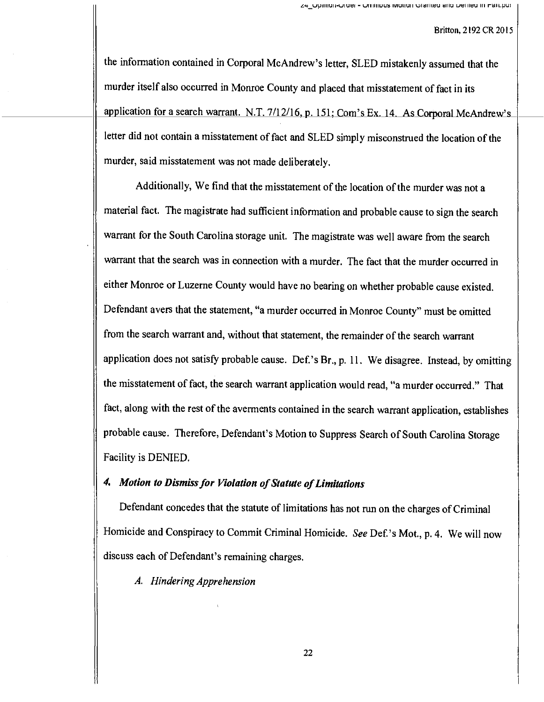the information contained in Corporal McAndrew's letter, SLED mistakenly assumed that the murder itself also occurred in Monroe County and placed that misstatement of fact in its application for a search warrant. N.T. 7/12/16, p. 151; Com's Ex. 14. As Corporal McAndrew's letter did not contain a misstatement of fact and SLED simply misconstrued the location of the murder, said misstatement was not made deliberately.

Additionally, We find that the misstatement of the location of the murder was not a material fact. The magistrate had sufficient information and probable cause to sign the search warrant for the South Carolina storage unit. The magistrate was well aware from the search warrant that the search was in connection with a murder. The fact that the murder occurred in either Monroe or Luzerne County would have no bearing on whether probable cause existed. Defendant avers that the statement, "a murder occurred in Monroe County" must be omitted from the search warrant and, without that statement, the remainder of the search warrant application does not satisfy probable cause. Def.'s Br., p. 11. We disagree. Instead, by omitting the misstatement of fact, the search warrant application would read, "a murder occurred." That fact, along with the rest of the averments contained in the search warrant application, establishes probable cause. Therefore, Defendant's Motion to Suppress Search of South Carolina Storage Facility is DENIED.

## 4. Motion to Dismiss for Violation of Statute of Limitations

Defendant concedes that the statute of limitations has not run on the charges of Criminal Homicide and Conspiracy to Commit Criminal Homicide. See Def.'s Mot., p. 4. We will now discuss each of Defendant's remaining charges.

A. Hindering Apprehension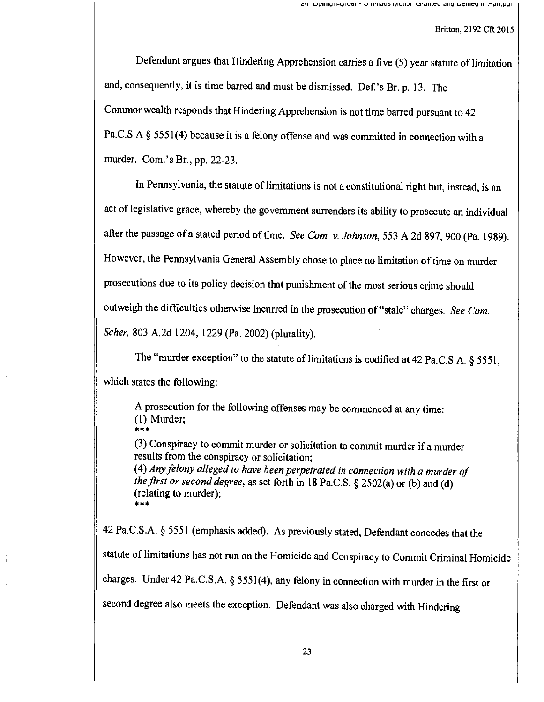Defendant argues that Hindering Apprehension carries a five (5) year statute of limitation and, consequently, it is time barred and must be dismissed. Def.'s Br. p. 13. The Commonwealth responds that Hindering Apprehension is not time barred pursuant to <sup>42</sup> Pa.C.S.A § 5551(4) because it is a felony offense and was committed in connection with a murder. Com.'s Br., pp. 22-23.

In Pennsylvania, the statute of limitations is not a constitutional right but, instead, is an act of legislative grace, whereby the government surrenders its ability to prosecute an individual after the passage of a stated period of time. See Com. v. Johnson, 553 A.2d 897, 900 (Pa. 1989). However, the Pennsylvania General Assembly chose to place no limitation of time on murder prosecutions due to its policy decision that punishment of the most serious crime should outweigh the difficulties otherwise incurred in the prosecution of "stale" charges. See Com. Scher, 803 A.2d 1204, 1229 (Pa. 2002) (plurality).

The "murder exception" to the statute of limitations is codified at 42 Pa.C.S.A. § 5551, which states the following:

A prosecution for the following offenses may be commenced at any time: (1) Murder;

(3) Conspiracy to commit murder or solicitation to commit murder if a murder results from the conspiracy or solicitation; (4) Any felony alleged to have been perpetrated in connection with a murder of the first or second degree, as set forth in 18 Pa.C.S. § 2502(a) or (b) and (d) (relating to murder);<br>\*\*\*

<sup>42</sup>Pa.C.S.A. § 5551 (emphasis added). As previously stated, Defendant concedes that the statute of limitations has not run on the Homicide and Conspiracy to Commit Criminal Homicide charges. Under 42 Pa.C.S.A. § 5551(4), any felony in connection with murder in the first or second degree also meets the exception. Defendant was also charged with Hindering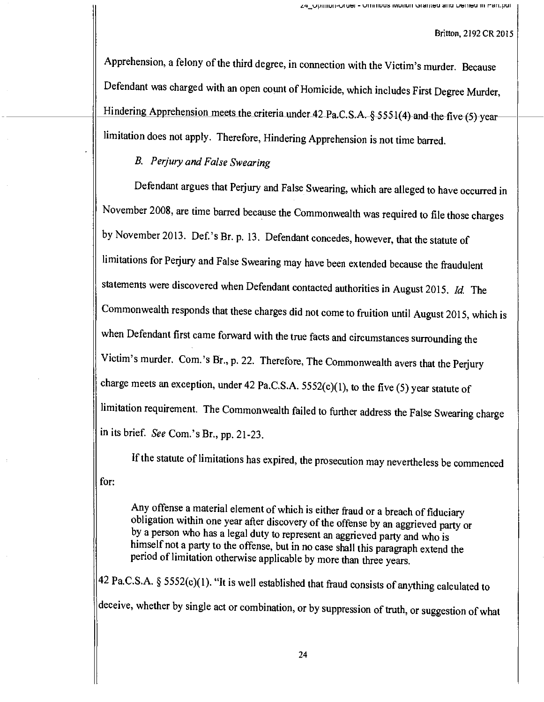Apprehension, a felony of the third degree, in connection with the Victim's murder. Because Defendant was charged with an open count of Homicide, which includes First Degree Murder, Hindering Apprehension meets the criteria under 42 Pa.C.S.A. § 5551(4) and the five (5) yearlimitation does not apply. Therefore, Hindering Apprehension is not time barred.

# B. Perjury and False Swearing

Defendant argues that Perjury and False Swearing, which are alleged to have occurred in November 2008, are time barred because the Commonwealth was required to file those charges by November 2013. Def.'s Br. p. 13. Defendant concedes, however, that the statute of limitations for Perjury and False Swearing may have been extended because the fraudulent statements were discovered when Defendant contacted authorities in August 2015. Id. The Commonwealth responds that these charges did not come to fruition until August 2015, which is when Defendant first came forward with the true facts and circumstances surrounding the Victim's murder. Com.'s Br., p. 22. Therefore, The Commonwealth avers that the Perjury charge meets an exception, under 42 Pa.C.S.A. 5552(c)(1), to the five (5) year statute of limitation requirement. The Commonwealth failed to further address the False Swearing charge in its brief. See Com.'s Br., pp. 21-23.

If the statute of limitations has expired, the prosecution may nevertheless be commenced for:

Any offense a material element of which is either fraud or a breach of fiduciary obligation within one year after discovery of the offense by an aggrieved party or by a person who has a legal duty to represent an aggrieved himself not a party to the offense, but in no case shall this paragraph extend the period of limitation otherwise applicable by more than three years.

42 Pa.C.S.A. § 5552(c)(1). "It is well established that fraud consists of anything calculated to deceive, whether by single act or combination, or by suppression of truth, or suggestion of what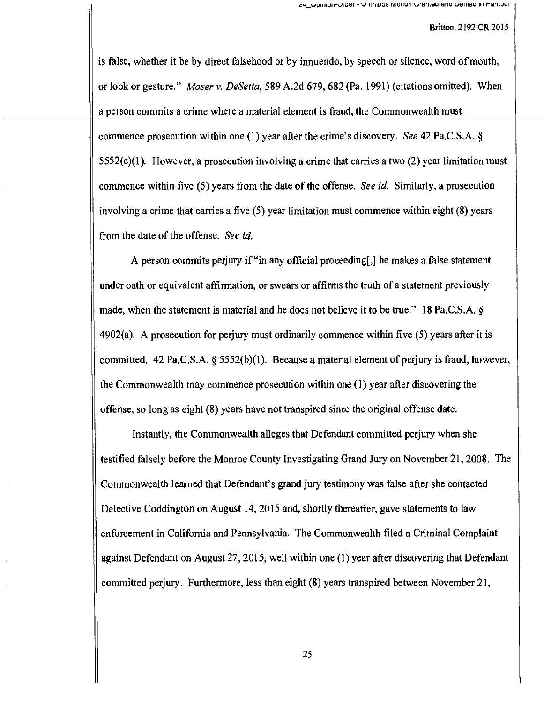is false, whether it be by direct falsehood or by innuendo, by speech or silence, word of mouth, or look or gesture." Moser v. DeSetta, 589 A.2d 679, 682 (Pa. 1991) (citations omitted). When a person commits a crime where a material element is fraud, the Commonwealth must commence prosecution within one (1) year after the crime's discovery. See 42 Pa.C.S.A. §  $5552(c)(1)$ . However, a prosecution involving a crime that carries a two (2) year limitation must commence within five (5) years from the date of the offense. See id. Similarly, a prosecution involving a crime that carries a five (5) year limitation must commence within eight (8) years from the date of the offense. See id.

A person commits perjury if "in any official proceeding[,] he makes a false statement under oath or equivalent affirmation, or swears or affirms the truth of a statement previously made, when the statement is material and he does not believe it to be true." 18 Pa.C.S.A. § 4902(a). A prosecution for perjury must ordinarily commence within five (5) years after it is committed. 42 Pa.C.S.A. § 5552(b)(1). Because a material element of perjury is fraud, however, the Commonwealth may commence prosecution within one (1) year after discovering the offense, so long as eight (8) years have not transpired since the original offense date.

Instantly, the Commonwealth alleges that Defendant committed perjury when she testified falsely before the Monroe County Investigating Grand Jury on November 21, 2008. The Commonwealth learned that Defendant's grand jury testimony was false after she contacted Detective Coddington on August 14, 2015 and, shortly thereafter, gave statements to law enforcement in California and Pennsylvania. The Commonwealth filed a Criminal Complaint against Defendant on August 27, 2015, well within one (1) year after discovering that Defendant committed perjury. Furthermore, less than eight (8) years transpired between November 21,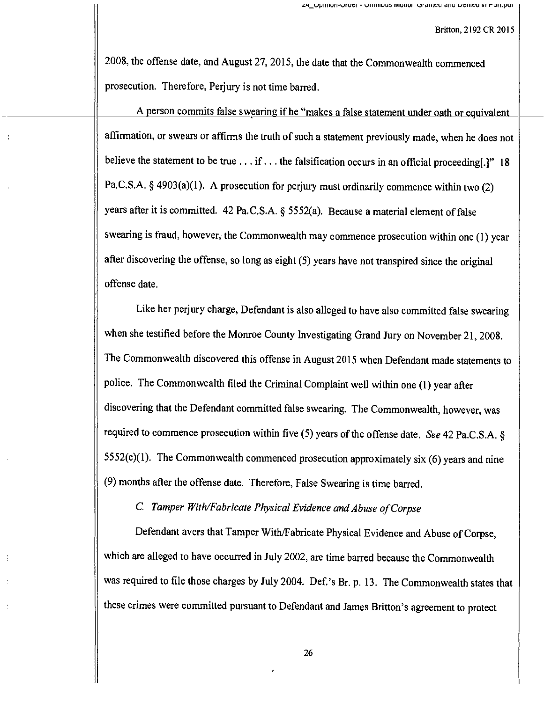2008, the offense date, and August 27, 2015, the date that the Commonwealth commenced prosecution. Therefore, Perjury is not time barred.

A person commits false swearing if he "makes a false statement under oath or equivalent affirmation, or swears or affirms the truth of such a statement previously made, when he does not believe the statement to be true ... if ... the falsification occurs in an official proceeding[.]" 18 Pa.C.S.A. § 4903(a)(1). A prosecution for perjury must ordinarily commence within two (2) years after it is committed. 42 Pa.C.S.A. § 5552(a). Because a material element of false swearing is fraud, however, the Commonwealth may commence prosecution within one (1) year after discovering the offense, so long as eight (5) years have not transpired since the original offense date.

Like her perjury charge, Defendant is also alleged to have also committed false swearing when she testified before the Monroe County Investigating Grand Jury on November 21, 2008. The Commonwealth discovered this offense in August 2015 when Defendant made statements to police. The Commonwealth filed the Criminal Complaint well within one (1) year after discovering that the Defendant committed false swearing. The Commonwealth, however, was required to commence prosecution within five  $(5)$  years of the offense date. See 42 Pa.C.S.A. § 5552(c)(1). The Commonwealth commenced prosecution approximately six  $(6)$  years and nine (9) months after the offense date. Therefore, False Swearing is time barred.

C. Tamper With/Fabricate Physical Evidence and Abuse of Corpse

Defendant avers that Tamper With/Fabricate Physical Evidence and Abuse of Corpse, which are alleged to have occurred in July 2002, are time barred because the Commonwealth was required to file those charges by July 2004. Def.'s Br. p. 13. The Commonwealth states that these crimes were committed pursuant to Defendant and James Britton's agreement to protect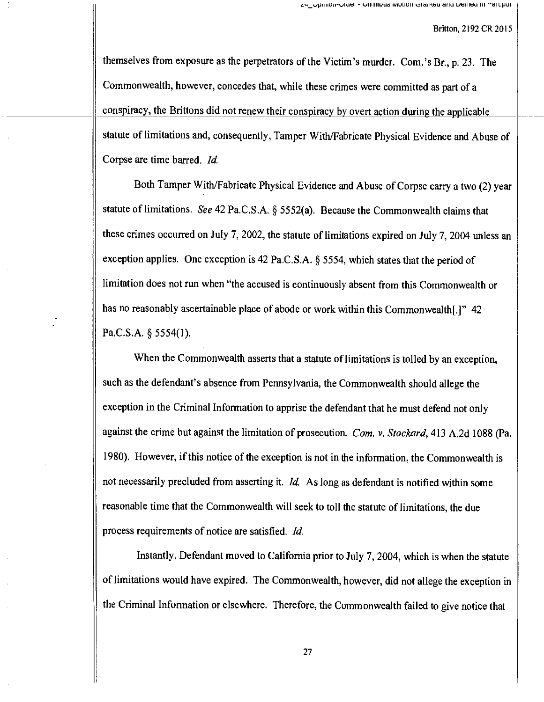themselves from exposure as the perpetrators of the Victim's murder. Com.'s Br., p. 23. The Commonwealth, however, concedes that, while these crimes were committed as part of a conspiracy, the Brittons did not renew their conspiracy by overt action during the applicable statute of limitations and, consequently, Tamper With/Fabricate Physical Evidence and Abuse of Corpse are time barred. Id.

Both Tamper With/Fabricate Physical Evidence and Abuse of Corpse carry a two (2) year statute of limitations. See 42 Pa.C.S.A. § 5552(a). Because the Commonwealth claims that these crimes occurred on July 7, 2002, the statute of limitations expired on July 7, 2004 unless an exception applies. One exception is 42 Pa.C.S.A. § 5554, which states that the period of limitation does not run when "the accused is continuously absent from this Commonwealth or has no reasonably ascertainable place of abode or work within this Commonwealth[.]" 42 Pa.C.S.A. § 5554(1).

When the Commonwealth asserts that a statute of limitations is tolled by an exception, such as the defendant's absence from Pennsylvania, the Commonwealth should allege the exception in the Criminal Information to apprise the defendant that he must defend not only against the crime but against the limitation of prosecution. Com. v. Stockard, 413 A.2d 1088 (Pa. 1980). However, if this notice of the exception is not in the information, the Commonwealth is not necessarily precluded from asserting it. Id. As long as defendant is notified within some reasonable time that the Commonwealth will seek to toll the statute of limitations, the due process requirements of notice are satisfied. Id.

Instantly, Defendant moved to California prior to July 7, 2004, which is when the statute of limitations would have expired. The Commonwealth, however, did not allege the exception in the Criminal Information or elsewhere. Therefore, the Commonwealth failed to give notice that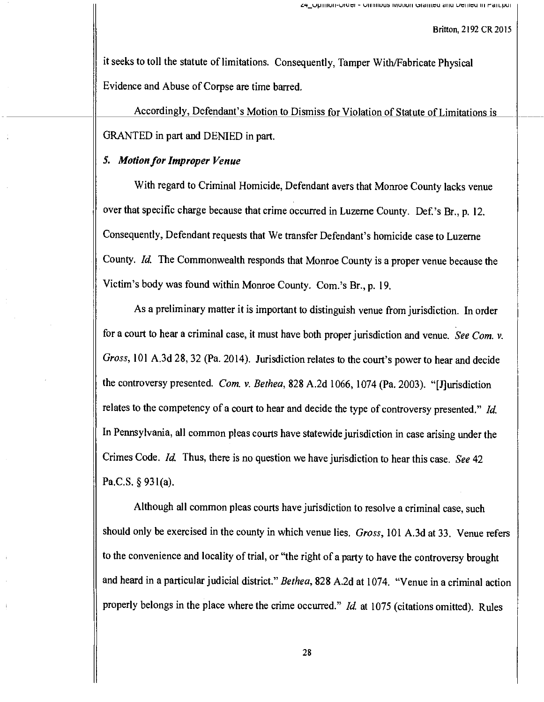it seeks to toll the statute of limitations. Consequently, Tamper With/Fabricate Physical Evidence and Abuse of Corpse are time barred.

Accordingly, Defendant's Motion to Dismiss for Violation of Statute of Limitations is GRANTED in part and DENIED in pan.

## 5. Motion for Improper Venue

With regard to Criminal Homicide, Defendant avers that Monroe County lacks venue over that specific charge because that crime occurred in Luzerne County. Def.'s Br., p. 12. Consequently, Defendant requests that We transfer Defendant's homicide case to Luzeme County. Id. The Commonwealth responds that Monroe County is a proper venue because the Victim's body was found within Monroe County. Com.'s Br., p. 19.

As a preliminary matter it is important to distinguish venue from jurisdiction. In order for a court to hear a criminal case, it must have both proper jurisdiction and venue. See Com. v. Gross, 101 A.3d 28, 32 (Pa. 2014). Jurisdiction relates to the court's power to hear and decide the controversy presented. Com. v. Bethea, 828 A.2d 1066, 1074 (Pa. 2003). "[J]urisdiction relates to the competency of a court to hear and decide the type of controversy presented." Id. In Pennsylvania, all common pleas courts have statewide jurisdiction in case arising under the Crimes Code. Id. Thus, there is no question we have jurisdiction to hear this case. See 42 Pa.C.S. § 931(a).

Although all common pleas courts have jurisdiction to resolve a criminal case, such should only be exercised in the county in which venue lies. Gross, 101 A.3d at 33. Venue refers to the convenience and locality of trial, or "the right of a party to have the controversy brought and heard in a particular judicial district." Bethea, 828 A.2d at 1074. "Venue in a criminal action properly belongs in the place where the crime occurred." Id. at 1075 (citations omitted). Rules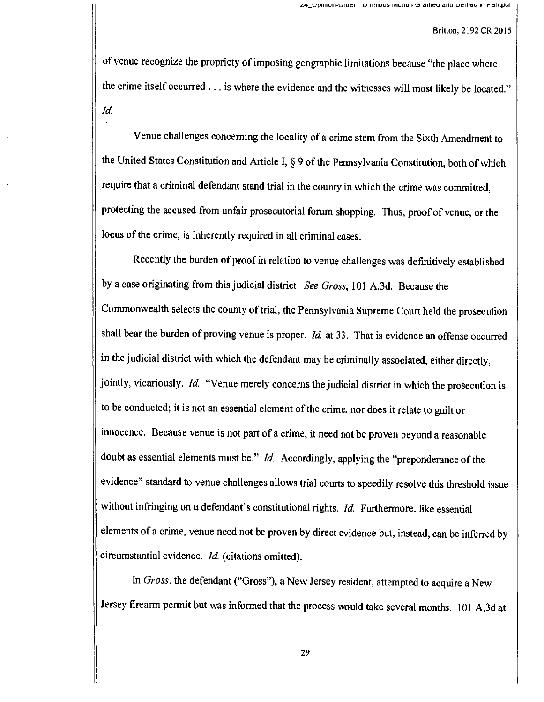of venue recognize the propriety of imposing geographic limitations because "the place where the crime itself occurred . .. is where the evidence and the witnesses will most likely be located." Id.

Venue challenges concerning the locality of a crime stem from the Sixth Amendment to the United States Constitution and Article I, § 9 of the Pennsylvania Constitution, both of which require that a criminal defendant stand trial in the county in which the crime was committed, protecting the accused from unfair prosecutorial forum shopping. Thus, proof of venue, or the locus of the crime, is inherently required in all criminal cases.

Recently the burden of proof in relation to venue challenges was definitively established by a case originating from this judicial district. See Gross, 101 A.3d. Because the Commonwealth selects the county of trial, the Pennsylvania Supreme Court held the prosecution shall bear the burden of proving venue is proper. Id. at 33. That is evidence an offense occurred in the judicial district with which the defendant may be criminally associated, either directly, jointly, vicariously. Id. "Venue merely concerns the judicial district in which the prosecution is to be conducted; it is not an essential element of the crime, nor does it relate to guilt or innocence. Because venue is not part of a crime, it need not be proven beyond a reasonable doubt as essential elements must be." *Id.* Accordingly, applying the "preponderance of the evidence" standard to venue challenges allows trial courts to speedily resolve this threshold issue without infringing on a defendant's constitutional rights. Id. Furthermore, like essential elements of a crime, venue need not be proven by direct evidence but, instead, can be inferred by circumstantial evidence. Id. (citations omitted).

In Gross, the defendant ("Gross"), a New Jersey resident, attempted to acquire a New Jersey firearm permit but was informed that the process would take several months. 101 A.3d at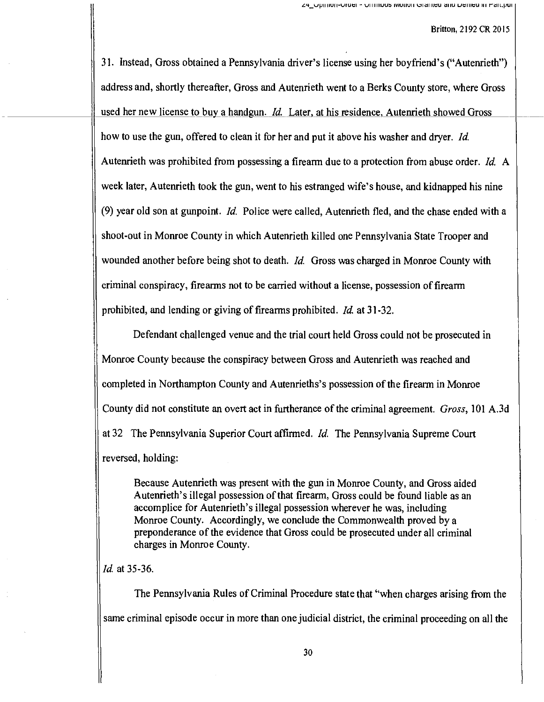31. Instead, Gross obtained a Pennsylvania driver's license using her boyfriend's ("Autenrieth") address and, shortly thereafter, Gross and Autenrieth went to a Berks County store, where Gross used her new license to buy a handgun. *Id.* Later, at his residence, Autenrieth showed Gross how to use the gun, offered to clean it for her and put it above his washer and dryer. Id. Autenrieth was prohibited from possessing a firearm due to a protection from abuse order. *Id.* A week later, Autenrieth took the gun, went to his estranged wife's house, and kidnapped his nine (9) year old son at gunpoint. Id. Police were called, Autenrieth fled, and the chase ended with a shoot-out in Monroe County in which Autenrieth killed one Pennsylvania State Trooper and wounded another before being shot to death. *Id*. Gross was charged in Monroe County with criminal conspiracy, firearms not to be carried without a license, possession of firearm prohibited, and lending or giving of firearms prohibited. Id at 31-32.

Defendant challenged venue and the trial court held Gross could not be prosecuted in Monroe County because the conspiracy between Gross and Autenrieth was reached and completed in Northampton County and Autenrieths's possession of the firearm in Monroe County did not constitute an overt act in furtherance of the criminal agreement. Gross, 101 A.3d at 32 The Pennsylvania Superior Court affirmed. Id. The Pennsylvania Supreme Court reversed, holding:

Because Autenrieth was present with the gun in Monroe County, and Gross aided Autenrieth's illegal possession of that firearm, Gross could be found liable as an accomplice for Autenrieth's illegal possession wherever he was, including Monroe County. Accordingly, we conclude the Commonwealth proved by a preponderance of the evidence that Gross could be prosecuted under all criminal charges in Monroe County.

Id. at 35-36.

The Pennsylvania Rules of Criminal Procedure state that "when charges arising from the same criminal episode occur in more than one judicial district, the criminal proceeding on all the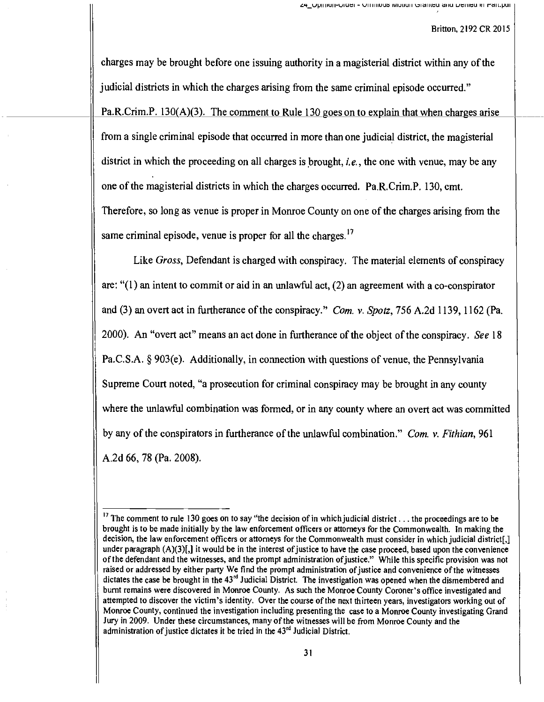charges may be brought before one issuing authority in a magisterial district within any of the judicial districts in which the charges arising from the same criminal episode occurred." Pa.R.Crim.P. 130(A)(3). The comment to Rule 130 goes on to explain that when charges arise from a single criminal episode that occurred in more than one judicial district, the magisterial district in which the proceeding on all charges is brought, *i.e.*, the one with venue, may be any one of the magisterial districts in which the charges occurred. Pa.R.Crim.P. 130, cmt. Therefore, so long as venue is proper in Monroe County on one of the charges arising from the same criminal episode, venue is proper for all the charges.<sup>17</sup>

Like Gross, Defendant is charged with conspiracy. The material elements of conspiracy are: "(1) an intent to commit or aid in an unlawful act, (2) an agreement with a co-conspirator and (3) an overt act in furtherance of the conspiracy." Com. v. Spotz, 756 A.2d 1139, 1162 (Pa. 2000). An "overt act" means an act done in furtherance of the object of the conspiracy. See 18 Pa.C.S.A. § 903(e). Additionally, in connection with questions of venue, the Pennsylvania Supreme Court noted, "a prosecution for criminal conspiracy may be brought in any county where the unlawful combination was formed, or in any county where an overt act was committed by any of the conspirators in furtherance of the unlawful combination." Com. v. Fithian, 961 A.2d 66, 78 (Pa. 2008).

<sup>&</sup>lt;sup>17</sup> The comment to rule 130 goes on to say "the decision of in which judicial district . . . the proceedings are to be brought is to be made initially by the law enforcement officers or attorneys for the Commonwealth. In making the decision, the law enforcement officers or attorneys for the Commonwealth must consider in which judicial district[,] under paragraph  $(A)(3)[$ , it would be in the interest of justice to have the case proceed, based upon the convenience of the defendant and the witnesses, and the prompt administration of justice." While this specific provision was not raised or addressed by either party We find the prompt administration of justice and convenience of the witnesses dictates the case be brought in the 43'd Judicial District. The investigation was opened when the dismembered and burnt remains were discovered in Monroe County. As such the Monroe County Coroner's office investigated and attempted to discover the victim's identity. Over the course of the next thirteen years, investigators working out of Monroe County, continued the investigation including presenting the case to a Monroe County investigating Grand Jury in 2009. Under these circumstances, many of the witnesses will be from Monroe County and the administration of justice dictates it be tried in the 43rd Judicial District.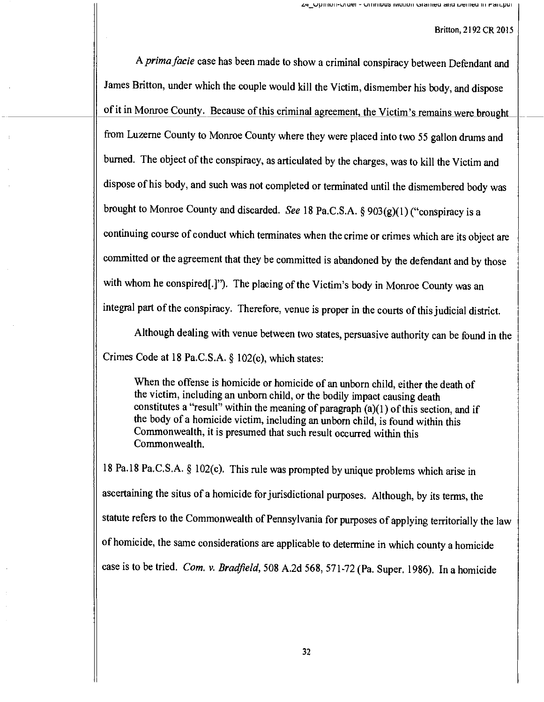A prima facie case has been made to show a criminal conspiracy between Defendant and James Britton, under which the couple would kill the Victim, dismember his body, and dispose of it in Monroe County. Because of this criminal agreement, the Victim's remains were brought from Luzerne County to Monroe County where they were placed into two 55 gallon drums and burned. The object of the conspiracy, as articulated by the charges, was to kill the Victim and dispose of his body, and such was not completed or terminated until the dismembered body was brought to Monroe County and discarded. See 18 Pa.C.S.A. § 903(g)(1) ("conspiracy is a continuing course of conduct which terminates when the crime or crimes which are its object are committed or the agreement that they be committed is abandoned by the defendant and by those with whom he conspired[.]"). The placing of the Victim's body in Monroe County was an integral part of the conspiracy. Therefore, venue is proper in the courts of this judicial district.

Although dealing with venue between two states, persuasive authority can be found in the Crimes Code at 18 Pa.C.S.A. § 102(c), which states:

When the offense is homicide or homicide of an unborn child, either the death of the victim, including an unborn child, or the bodily impact causing death constitutes a "result" within the meaning of paragraph  $(a)(1)$  of this section, and if the body of a homicide victim, including an unborn child, is found within this Commonwealth, it is presumed that such result occurred within this Commonwealth.

<sup>18</sup>Pa.I 8 Pa.C.S.A. § 102(c). This rule was prompted by unique problems which arise in ascertaining the situs of a homicide for jurisdictional purposes. Although, by its terms, the statute refers to the Commonwealth of Pennsylvania for purposes of applying territorially the law of homicide, the same considerations are applicable to determine in which county a homicide case is to be tried. Com. v. Bradfield, 508 A.2d 568, 571-72 (Pa. Super. 1986). In a homicide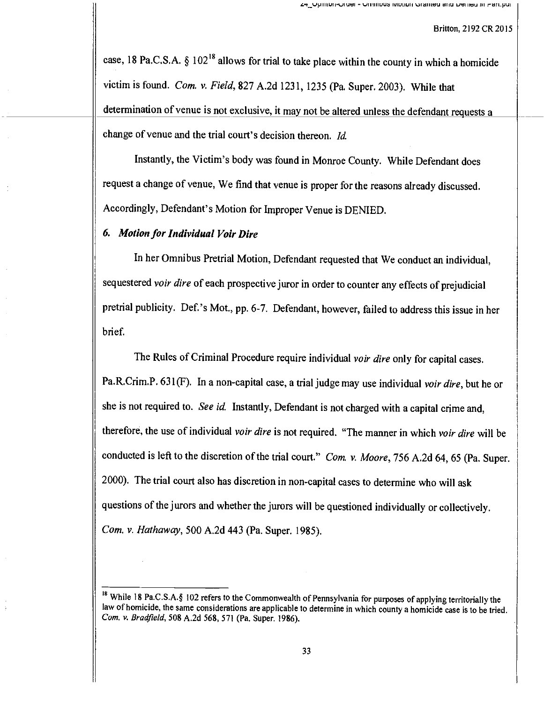case, 18 Pa.C.S.A.  $\S 102^{18}$  allows for trial to take place within the county in which a homicide victim is found. Com. v. Field, 827 A.2d 1231, 1235 (Pa. Super. 2003). While that determination of venue is not exclusive, it may not be altered unless the defendant requests a change of venue and the trial court's decision thereon. Id.

Instantly, the Victim's body was found in Monroe County. While Defendant does request a change of venue, We find that venue is proper for the reasons already discussed. Accordingly, Defendant's Motion for Improper Venue is DENIED.

## 6. Motion for Individual Voir Dire

In her Omnibus Pretrial Motion, Defendant requested that We conduct an individual, sequestered voir dire of each prospective juror in order to counter any effects of prejudicial pretrial publicity. Def.'s Mot., pp. 6-7. Defendant, however, failed to address this issue in her brief.

The Rules of Criminal Procedure require individual voir dire only for capital cases. Pa.R.Crim.P. 631(F). In a non-capital case, a trial judge may use individual voir dire, but he or she is not required to. See id. Instantly, Defendant is not charged with a capital crime and, therefore, the use of individual voir dire is not required. "The manner in which voir dire will be conducted is left to the discretion of the trial court." Com. v. Moore, 756 A.2d 64, 65 (Pa. Super. 2000). The trial court also has discretion in non -capital cases to determine who will ask questions of the jurors and whether the jurors will be questioned individually or collectively. Com. v. Hathaway, 500 A.2d 443 (Pa. Super. 1985).

<sup>&</sup>lt;sup>18</sup> While 18 Pa.C.S.A.§ 102 refers to the Commonwealth of Pennsylvania for purposes of applying territorially the law of homicide, the same considerations are applicable to determine in which county a homicide case is to be tried. Com. v. Bradfield, 508 A.2d 568, 571 (Pa. Super. 1986).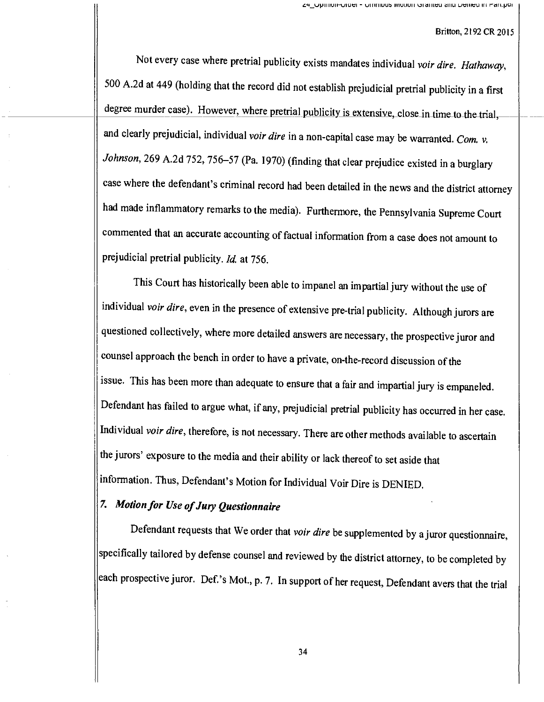Not every case where pretrial publicity exists mandates individual voir dire. Hathaway, 500 A.2d at 449 (holding that the record did not establish prejudicial pretrial publicity in a first degree murder case). However, where pretrial publicity is extensive, close in time to the trial, and clearly prejudicial, individual voir dire in a non-capital case may be warranted. Com. v. Johnson, 269 A.2d 752, 756-57 (Pa. 1970) (finding that clear prejudice existed in a burglary case where the defendant's criminal record had been detailed in the news and the district attorney had made inflammatory remarks to the media). Furthermore, the Pennsylvania Supreme Court commented that an accurate accounting of factual information from a case does not amount to prejudicial pretrial publicity. Id. at 756.

This Court has historically been able to impanel an impartial jury without the use of individual voir dire, even in the presence of extensive pre-trial publicity. Although jurors are questioned collectively, where more detailed answers are necessary, the prospective juror and counsel approach the bench in order to have a private, on -the -record discussion of the issue. This has been more than adequate to ensure that a fair and impartial jury is empaneled. Defendant has failed to argue what, if any, prejudicial pretrial publicity has occurred in her case. Individual voir dire, therefore, is not necessary. There are other methods available to ascertain the jurors' exposure to the media and their ability or lack thereof to set aside that information. Thus, Defendant's Motion for Individual Voir Dire is DENIED.

# 7. Motion for Use of Jury Questionnaire

Defendant requests that We order that voir dire be supplemented by a juror questionnaire, specifically tailored by defense counsel and reviewed by the district attorney, to be completed by each prospective juror. Def.'s Mot., p. 7. In support of her request, Defendant avers that the trial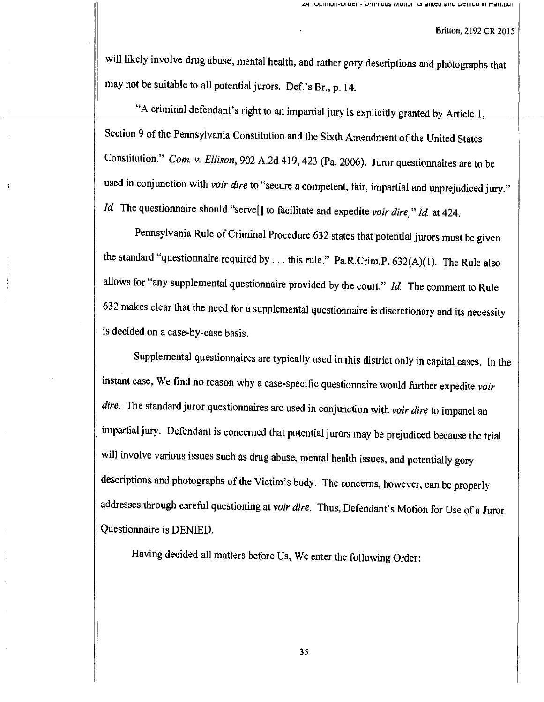will likely involve drug abuse, mental health, and rather gory descriptions and photographs that may not be suitable to all potential jurors. Def.'s Br., p. 14.

"A criminal defendant's right to an impartial jury is explicitly granted by Article 1, Section 9 of the Pennsylvania Constitution and the Sixth Amendment of the United States Constitution." Com. v. Ellison, 902 A.2d 419, 423 (Pa. 2006). Juror questionnaires are to be used in conjunction with voir dire to "secure a competent, fair, impartial and unprejudiced jury." Id. The questionnaire should "serve $[$ ] to facilitate and expedite voir dire." Id. at 424.

Pennsylvania Rule of Criminal Procedure 632 states that potential jurors must be given the standard "questionnaire required by ... this rule." Pa.R.Crim.P.  $632(A)(1)$ . The Rule also allows for "any supplemental questionnaire provided by the court."  $Id$ . The comment to Rule <sup>632</sup>makes clear that the need for a supplemental questionnaire is discretionary and its necessity is decided on a case -by -case basis.

Supplemental questionnaires are typically used in this district only in capital cases. In the instant case, We find no reason why a case-specific questionnaire would further expedite voir dire. The standard juror questionnaires are used in conjunction with voir dire to impanel an impartial jury. Defendant is concerned that potential jurors may be prejudiced because the trial will involve various issues such as drug abuse, mental health issues, and potentially gory descriptions and photographs of the Victim's body. The concerns, however, can be properly addresses through careful questioning at voir dire. Thus, Defendant's Motion for Use of a Juror Questionnaire is DENIED.

Having decided all matters before Us, We enter the following Order: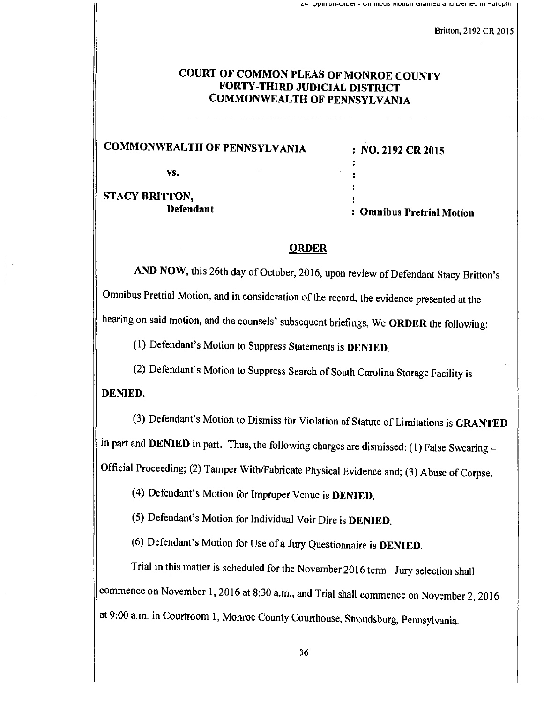# COURT OF COMMON PLEAS OF MONROE COUNTY FORTY-THIRD JUDICIAL DISTRICT COMMONWEALTH OF PENNSYLVANIA

COMMONWEALTH OF PENNSYLVANIA : NO. 2192 CR 2015

vs.

STACY BRITTON,

: Omnibus Pretrial Motion

# **ORDER**

AND NOW, this 26th day of October, 2016, upon review of Defendant Stacy Britton's Omnibus Pretrial Motion, and in consideration of the record, the evidence presented at the hearing on said motion, and the counsels' subsequent briefings, We ORDER the following:

(1) Defendant's Motion to Suppress Statements is DENIED.

(2) Defendant's Motion to Suppress Search of South Carolina Storage Facility is

DENIED.

(3) Defendant's Motion to Dismiss for Violation of Statute of Limitations is GRANTED in part and DENIED in part. Thus, the following charges are dismissed: (1) False Swearing -Official Proceeding; (2) Tamper With/Fabricate Physical Evidence and; (3) Abuse of Corpse.

(4) Defendant's Motion for Improper Venue is DENIED.

(5) Defendant's Motion for Individual Voir Dire is DENIED.

(6) Defendant's Motion for Use of a Jury Questionnaire is DENIED.

Trial in this matter is scheduled for the November 2016 term. Jury selection shall commence on November 1, 2016 at 8:30 a.m., and Trial shall commence on November 2, <sup>2016</sup> at 9:00 a.m. in Courtroom 1, Monroe County Courthouse, Stroudsburg, Pennsylvania.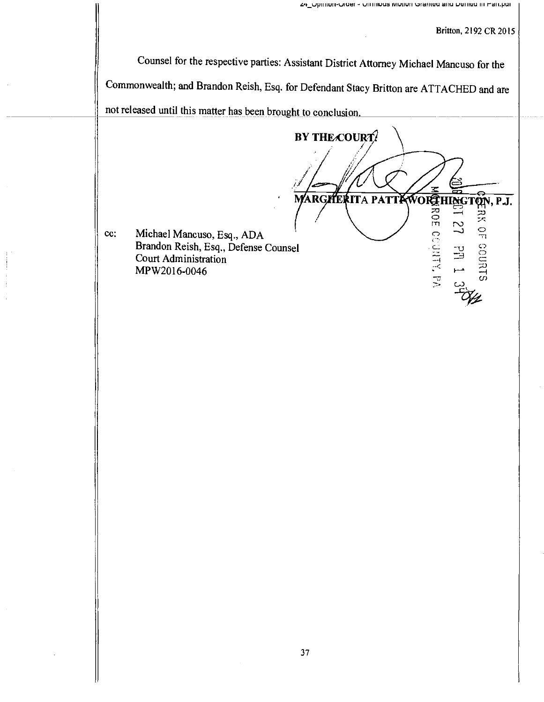Counsel for the respective parties: Assistant District Attorney Michael Mancuso for the Commonwealth; and Brandon Reish, Esq. for Defendant Stacy Britton are ATTACHED and are not released until this matter has been brought to conclusion

BY THE COURT? HERROR COUNTY OF ORT 10-10 HORTON, P.J. R( **PAT** TA  $\mathbb{Z}$  $\Xi$ 

cc: Michael Mancuso, Esq., ADA Brandon Reish, Esq., Defense Counsel Court Administration MP W2016-0046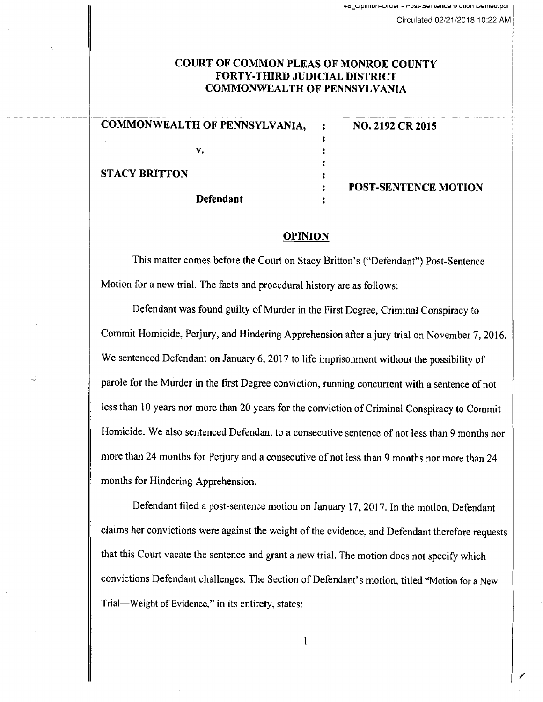# COURT OF COMMON PLEAS OF MONROE COUNTY FORTY-THIRD JUDICIAL DISTRICT COMMONWEALTH OF PENNSYLVANIA

| <b>COMMONWEALTH OF PENNSYLVANIA,</b> | NO. 2192 CR 2015            |
|--------------------------------------|-----------------------------|
| v.                                   |                             |
| <b>STACY BRITTON</b>                 |                             |
| <b>Defendant</b>                     | <b>POST-SENTENCE MOTION</b> |

#### OPINION

This matter comes before the Court on Stacy Britton's ("Defendant") Post -Sentence Motion for a new trial. The facts and procedural history are as follows:

Defendant was found guilty of Murder in the First Degree, Criminal Conspiracy to Commit Homicide, Perjury, and Hindering Apprehension after a jury trial on November 7, 2016. We sentenced Defendant on January 6, 2017 to life imprisonment without the possibility of parole for the Murder in the first Degree conviction, running concurrent with a sentence of not less than 10 years nor more than 20 years for the conviction of Criminal Conspiracy to Commit Homicide. We also sentenced Defendant to a consecutive sentence of not less than 9 months nor more than 24 months for Perjury and a consecutive of not less than 9 months nor more than 24 months for Hindering Apprehension.

Defendant filed a post-sentence motion on January 17, 2017. In the motion, Defendant claims her convictions were against the weight of the evidence, and Defendant therefore requests that this Court vacate the sentence and grant a new trial. The motion does not specify which convictions Defendant challenges. The Section of Defendant's motion, titled "Motion for a New Trial-Weight of Evidence," in its entirety, states:

1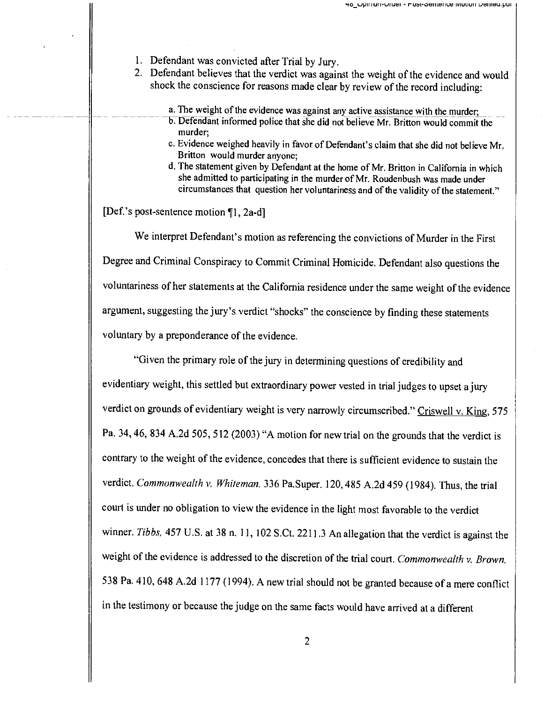- 1. Defendant was convicted after Trial by Jury.
- 2. Defendant believes that the verdict was against the weight of the evidence and would shock the conscience for reasons made clear by review of the record including:
	- a. The weight of the evidence was against any active assistance with the murder.
	- b. Defendant informed police that she did not believe Mr. Britton would commit the murder;
	- c. Evidence weighed heavily in favor of Defendant's claim that she did not believe Mr. Britton would murder anyone;
	- d. The statement given by Defendant at the home of Mr. Britton in California in which she admitted to participating in the murder of Mr. Roudenbush was made under circumstances that question her voluntariness and of the validity of the statement."

[Def.'s post-sentence motion [1, 2a-d]

We interpret Defendant's motion as referencing the convictions of Murder in the First Degree and Criminal Conspiracy to Commit Criminal Homicide. Defendant also questions the voluntariness of her statements at the California residence under the same weight of the evidence argument, suggesting the jury's verdict "shocks" the conscience by finding these statements voluntary by a preponderance of the evidence.

"Given the primary role of the jury in determining questions of credibility and evidentiary weight, this settled but extraordinary power vested in trial judges to upset a jury verdict on grounds of evidentiary weight is very narrowly circumscribed." Criswell v. King, 575 Pa. 34, 46, 834 A.2d 505, 512 (2003) "A motion for new trial on the grounds that the verdict is contrary to the weight of the evidence, concedes that there is sufficient evidence to sustain the verdict. Commonwealth v. Whiteman, 336 Pa.Super. 120, 485 A.2d 459 (1984). Thus, the trial court is under no obligation to view the evidence in the light most favorable to the verdict winner. Tibbs, 457 U.S. at 38 n. 11, 102 S.Ct. 2211.3 An allegation that the verdict is against the weight of the evidence is addressed to the discretion of the trial court. Commonwealth v. Brown. 538 Pa. 410, 648 A.2d 1177 (1994). A new trial should not be granted because of a mere conflict in the testimony or because the judge on the same facts would have arrived at a different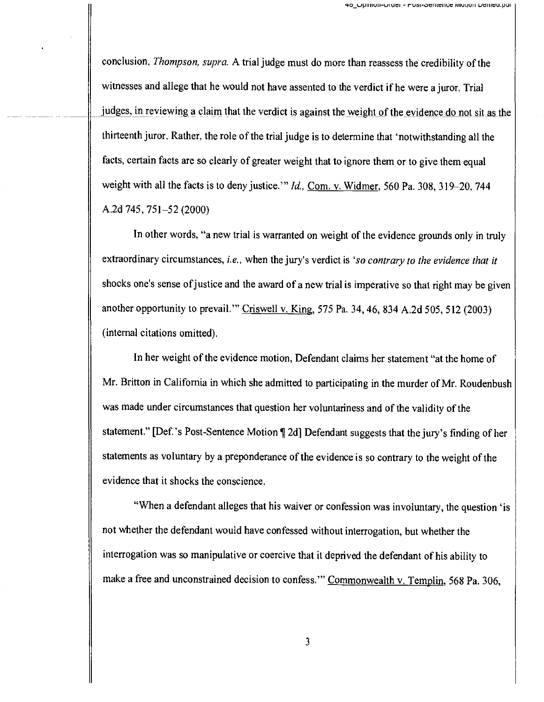conclusion. Thompson, supra. A trial judge must do more than reassess the credibility of the witnesses and allege that he would not have assented to the verdict if he were a juror. Trial judges, in reviewing a claim that the verdict is against the weight of the evidence do not sit as the thirteenth juror. Rather, the role of the trial judge is to determine that 'notwithstanding all the facts, certain facts are so clearly of greater weight that to ignore them or to give them equal weight with all the facts is to deny justice.'" Id., Com. v. Widmer, 560 Pa. 308, 319-20, 744 A.2d 745, 751-52 (2000)

In other words, "a new trial is warranted on weight of the evidence grounds only in truly extraordinary circumstances, i.e., when the jury's verdict is 'so contrary to the evidence that it shocks one's sense of justice and the award of a new trial is imperative so that right may be given another opportunity to prevail." Criswell v. King, 575 Pa. 34, 46, 834 A.2d 505, 512 (2003) (internal citations omitted).

In her weight of the evidence motion, Defendant claims her statement "at the home of Mr. Britton in California in which she admitted to participating in the murder of Mr. Roudenbush was made under circumstances that question her voluntariness and of the validity of the statement." [Def.'s Post-Sentence Motion ¶ 2d] Defendant suggests that the jury's finding of her statements as voluntary by a preponderance of the evidence is so contrary to the weight of the evidence that it shocks the conscience.

"When a defendant alleges that his waiver or confession was involuntary, the question 'is not whether the defendant would have confessed without interrogation, but whether the interrogation was so manipulative or coercive that it deprived the defendant of his ability to make a free and unconstrained decision to confess." Commonwealth v. Templin, 568 Pa. 306,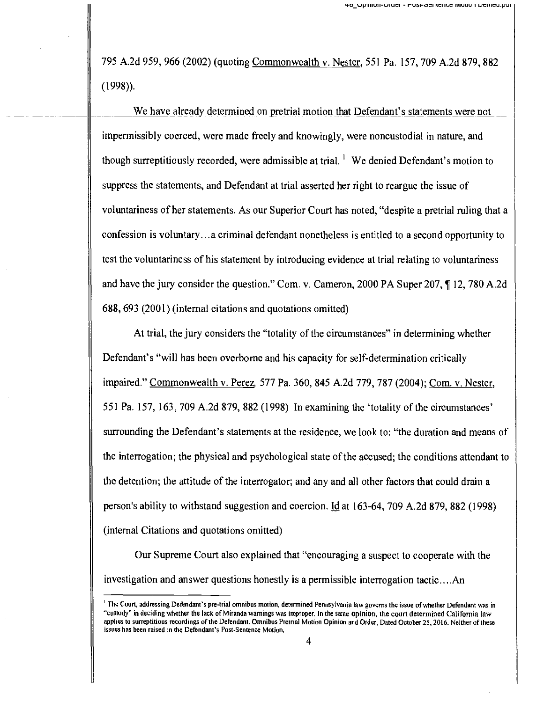795 A.2d 959, 966 (2002) (quoting Commonwealth v. Nester, 551 Pa. 157, 709 A.2d 879, 882 (1998)).

We have already determined on pretrial motion that Defendant's statements were not impermissibly coerced, were made freely and knowingly, were noncustodial in nature, and though surreptitiously recorded, were admissible at trial.  $\frac{1}{1}$  We denied Defendant's motion to suppress the statements, and Defendant at trial asserted her right to reargue the issue of voluntariness of her statements. As our Superior Court has noted, "despite a pretrial ruling that a confession is voluntary...a criminal defendant nonetheless is entitled to a second opportunity to test the voluntariness of his statement by introducing evidence at trial relating to voluntariness and have the jury consider the question." Com. v. Cameron, 2000 PA Super 207, ¶ 12, 780 A.2d 688, 693 (2001) (internal citations and quotations omitted)

At trial, the jury considers the "totality of the circumstances" in determining whether Defendant's "will has been overborne and his capacity for self-determination critically impaired." Commonwealth v. Perez, 577 Pa. 360, 845 A.2d 779, 787 (2004); Com. v. Nester, 551 Pa. 157, 163, 709 A.2d 879, 882 (1998) In examining the 'totality of the circumstances' surrounding the Defendant's statements at the residence, we look to: "the duration and means of the interrogation; the physical and psychological state of the accused; the conditions attendant to the detention; the attitude of the interrogator; and any and all other factors that could drain a person's ability to withstand suggestion and coercion. Id at 163-64, 709 A.2d 879, 882 (1998) (internal Citations and quotations omitted)

Our Supreme Court also explained that "encouraging a suspect to cooperate with the investigation and answer questions honestly is a permissible interrogation tactic....An

<sup>&</sup>lt;sup>1</sup> The Court, addressing Defendant's pre-trial omnibus motion, determined Pennsylvania law governs the issue of whether Defendant was in "custody" in deciding whether the lack of Miranda warnings was improper. In the same opinion, the court determined California law applies to surreptitious recordings of the Defendant. Omnibus Pretrial Motion Opinion and Order, Dated October 25, 2016. Neither of these issues has been raised in the Defendant's Post -Sentence Motion.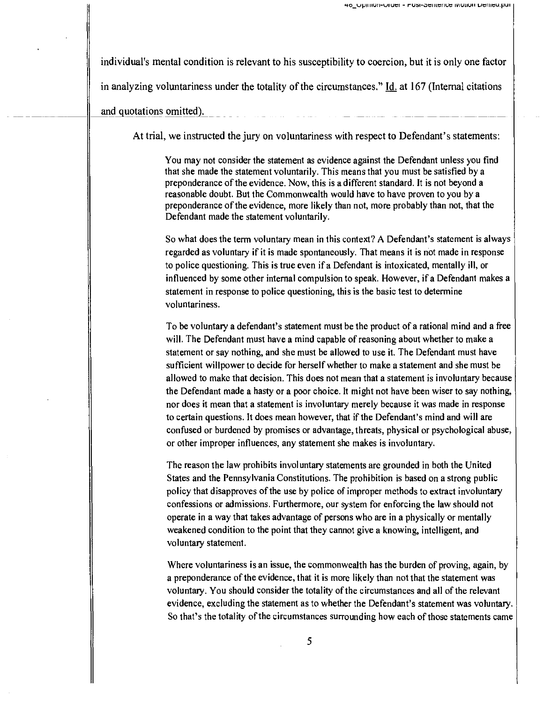individual's mental condition is relevant to his susceptibility to coercion, but it is only one factor in analyzing voluntariness under the totality of the circumstances." Id. at 167 (Internal citations and quotations omitted).

At trial, we instructed the jury on voluntariness with respect to Defendant's statements:

You may not consider the statement as evidence against the Defendant unless you find that she made the statement voluntarily. This means that you must be satisfied by a preponderance of the evidence. Now, this is a different standard. It is not beyond a reasonable doubt. But the Commonwealth would have to have proven to you by a preponderance of the evidence, more likely than not, more probably than not, that the Defendant made the statement voluntarily.

So what does the term voluntary mean in this context? A Defendant's statement is always regarded as voluntary if it is made spontaneously. That means it is not made in response to police questioning. This is true even if a Defendant is intoxicated, mentally ill, or influenced by some other internal compulsion to speak. However, if a Defendant makes a statement in response to police questioning, this is the basic test to determine voluntariness.

To be voluntary a defendant's statement must be the product of a rational mind and a free will. The Defendant must have a mind capable of reasoning about whether to make a statement or say nothing, and she must be allowed to use it. The Defendant must have sufficient willpower to decide for herself whether to make a statement and she must be allowed to make that decision. This does not mean that a statement is involuntary because the Defendant made a hasty or a poor choice. It might not have been wiser to say nothing, nor does it mean that a statement is involuntary merely because it was made in response to certain questions. It does mean however, that if the Defendant's mind and will are confused or burdened by promises or advantage, threats, physical or psychological abuse, or other improper influences, any statement she makes is involuntary.

The reason the law prohibits involuntary statements are grounded in both the United States and the Pennsylvania Constitutions. The prohibition is based on a strong public policy that disapproves of the use by police of improper methods to extract involuntary confessions or admissions. Furthermore, our system for enforcing the law should not operate in a way that takes advantage of persons who are in a physically or mentally weakened condition to the point that they cannot give a knowing, intelligent, and voluntary statement.

Where voluntariness is an issue, the commonwealth has the burden of proving, again, by a preponderance of the evidence, that it is more likely than not that the statement was voluntary. You should consider the totality of the circumstances and all of the relevant evidence, excluding the statement as to whether the Defendant's statement was voluntary. So that's the totality of the circumstances surrounding how each of those statements came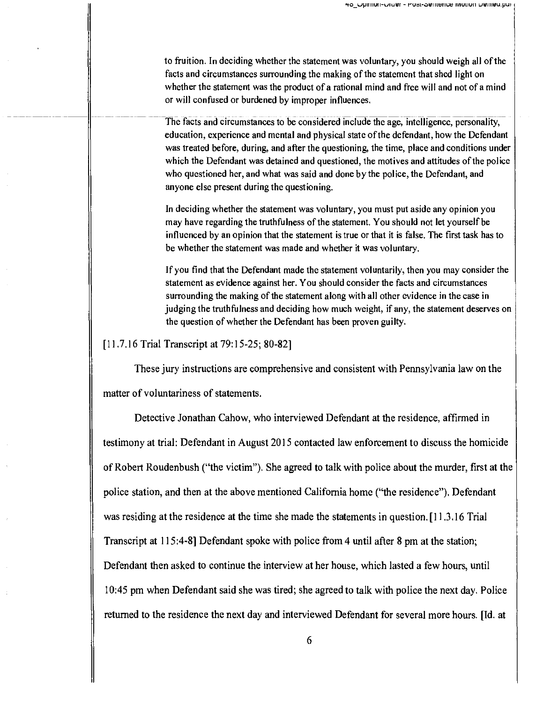to fruition. In deciding whether the statement was voluntary, you should weigh all of the facts and circumstances surrounding the making of the statement that shed light on whether the statement was the product of a rational mind and free will and not of a mind or will confused or burdened by improper influences.

The facts and circumstances to be considered include the age, intelligence, personality, education, experience and mental and physical state of the defendant, how the Defendant was treated before, during, and after the questioning, the time, place and conditions under which the Defendant was detained and questioned, the motives and attitudes of the police who questioned her, and what was said and done by the police, the Defendant, and anyone else present during the questioning.

In deciding whether the statement was voluntary, you must put aside any opinion you may have regarding the truthfulness of the statement. You should not let yourself be influenced by an opinion that the statement is true or that it is false. The first task has to be whether the statement was made and whether it was voluntary.

If you find that the Defendant made the statement voluntarily, then you may consider the statement as evidence against her. You should consider the facts and circumstances surrounding the making of the statement along with all other evidence in the case in judging the truthfulness and deciding how much weight, if any, the statement deserves on the question of whether the Defendant has been proven guilty.

[11.7.16 Trial Transcript at 79:15-25; 80-82]

These jury instructions are comprehensive and consistent with Pennsylvania law on the

matter of voluntariness of statements.

Detective Jonathan Cahow, who interviewed Defendant at the residence, affirmed in testimony at trial: Defendant in August 2015 contacted law enforcement to discuss the homicide of Robert Roudenbush ("the victim"). She agreed to talk with police about the murder, first at the police station, and then at the above mentioned California home ("the residence"). Defendant was residing at the residence at the time she made the statements in question. [11.3.16 Trial Transcript at 115:4-8] Defendant spoke with police from 4 until after 8 pm at the station; Defendant then asked to continue the interview at her house, which lasted a few hours, until 10:45 pm when Defendant said she was tired; she agreed to talk with police the next day. Police returned to the residence the next day and interviewed Defendant for several more hours. [Id. at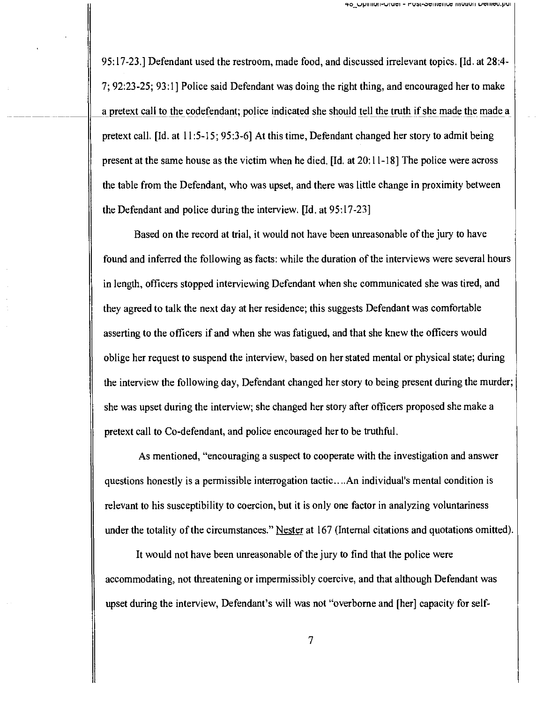95:17-23.] Defendant used the restroom, made food, and discussed irrelevant topics. [Id. at 28:4- 7; 92:23-25; 93:1] Police said Defendant was doing the right thing, and encouraged her to make a pretext call to the codefendant; police indicated she should tell the truth if she made the made a pretext call. [Id. at 11:5-15; 95:3-6] At this time, Defendant changed her story to admit being present at the same house as the victim when he died. [Id. at 20:11-18] The police were across the table from the Defendant, who was upset, and there was little change in proximity between the Defendant and police during the interview. [Id. at 95:17-23]

Based on the record at trial, it would not have been unreasonable of the jury to have found and inferred the following as facts: while the duration of the interviews were several hours in length, officers stopped interviewing Defendant when she communicated she was tired, and they agreed to talk the next day at her residence; this suggests Defendant was comfortable asserting to the officers if and when she was fatigued, and that she knew the officers would oblige her request to suspend the interview, based on her stated mental or physical state; during the interview the following day, Defendant changed her story to being present during the murder; she was upset during the interview; she changed her story after officers proposed she make a pretext call to Co-defendant, and police encouraged her to be truthful.

As mentioned, "encouraging a suspect to cooperate with the investigation and answer questions honestly is a permissible interrogation tactic....An individual's mental condition is relevant to his susceptibility to coercion, but it is only one factor in analyzing voluntariness under the totality of the circumstances." Nester at 167 (Internal citations and quotations omitted).

It would not have been unreasonable of the jury to find that the police were accommodating, not threatening or impermissibly coercive, and that although Defendant was upset during the interview, Defendant's will was not "overborne and [her] capacity for self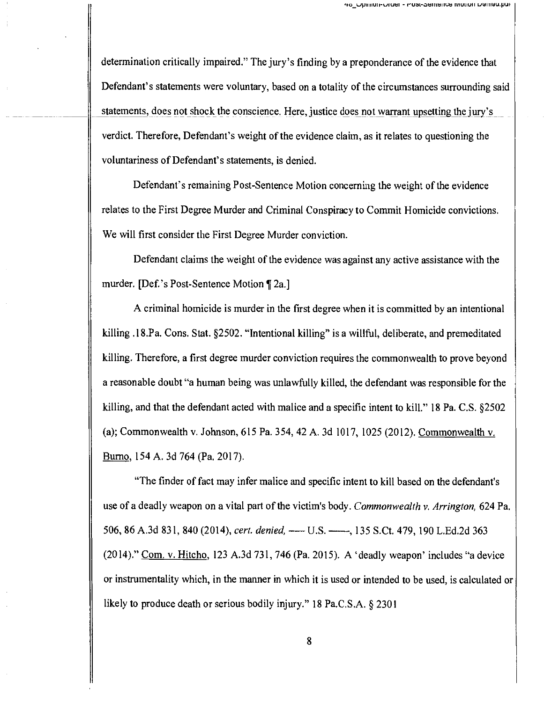determination critically impaired." The jury's finding by a preponderance of the evidence that Defendant's statements were voluntary, based on a totality of the circumstances surrounding said statements, does not shock the conscience. Here, justice does not warrant upsetting the jury's verdict. Therefore, Defendant's weight of the evidence claim, as it relates to questioning the voluntariness of Defendant's statements, is denied.

Defendant's remaining Post -Sentence Motion concerning the weight of the evidence relates to the First Degree Murder and Criminal Conspiracy to Commit Homicide convictions. We will first consider the First Degree Murder conviction.

Defendant claims the weight of the evidence was against any active assistance with the murder. [Def.'s Post-Sentence Motion [2a.]

A criminal homicide is murder in the first degree when it is committed by an intentional killing .18.Pa. Cons. Stat. §2502. "Intentional killing" is a willful, deliberate, and premeditated killing. Therefore, a first degree murder conviction requires the commonwealth to prove beyond a reasonable doubt "a human being was unlawfully killed, the defendant was responsible for the killing, and that the defendant acted with malice and a specific intent to kill." 18 Pa. C.S. §2502 (a); Commonwealth v. Johnson, 615 Pa. 354, 42 A. 3d 1017, 1025 (2012). Commonwealth v. Burno, 154 A. 3d 764 (Pa. 2017).

"The finder of fact may infer malice and specific intent to kill based on the defendant's use of a deadly weapon on a vital part of the victim's body. Commonwealth v. Arrington, 624 Pa. 506, 86 A.3d 831, 840 (2014), cert. denied, - U.S. - , 135 S.Ct. 479, 190 L.Ed.2d 363 (2014)." Com. v. Hitcho, 123 A.3d 731, 746 (Pa. 2015). A 'deadly weapon' includes "a device or instrumentality which, in the manner in which it is used or intended to be used, is calculated or likely to produce death or serious bodily injury." 18 Pa.C.S.A. § 2301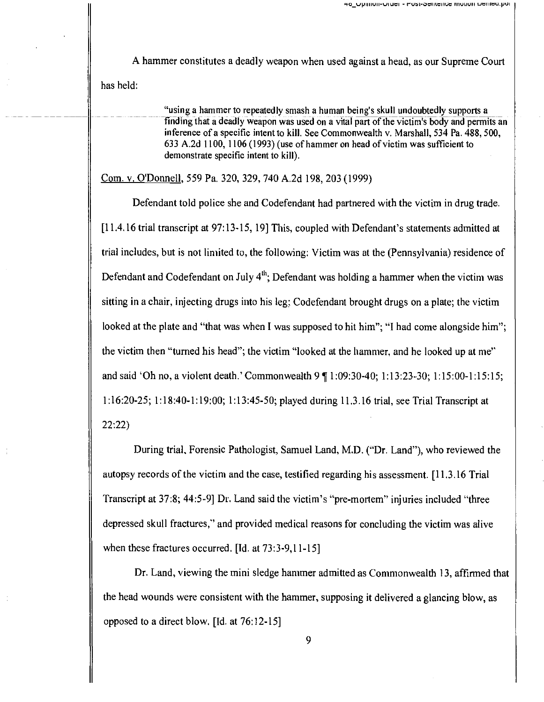A hammer constitutes a deadly weapon when used against a head, as our Supreme Court

has held:

"using a hammer to repeatedly smash a human being's skull undoubtedly supports a finding that a deadly weapon was used on a vital part of the victim's body and permits an inference of a specific intent to kill. See Commonwealth v. Marshall, 534 Pa. 488, 500, <sup>633</sup>A.2d 1100, 1106 (1993) (use of hammer on head of victim was sufficient to demonstrate specific intent to kill).

Com. v. O'Donnell, 559 Pa. 320, 329, 740 A.2d 198, 203 (1999)

Defendant told police she and Codefendant had partnered with the victim in drug trade. [11.4.16 trial transcript at 97:13-15, 19] This, coupled with Defendant's statements admitted at trial includes, but is not limited to, the following: Victim was at the (Pennsylvania) residence of Defendant and Codefendant on July  $4<sup>th</sup>$ ; Defendant was holding a hammer when the victim was sitting in a chair, injecting drugs into his leg; Codefendant brought drugs on a plate; the victim looked at the plate and "that was when I was supposed to hit him"; "I had come alongside him"; the victim then "turned his head"; the victim "looked at the hammer, and he looked up at me" and said 'Oh no, a violent death.' Commonwealth 9 ¶ 1:09:30-40; 1:13:23-30; 1:15:00-1:15:15; 1:16:20-25; 1:18:40-1:19:00; 1:13:45-50; played during 11.3.16 trial, see Trial Transcript at 22:22)

During trial, Forensic Pathologist, Samuel Land, M.D. ("Dr. Land"), who reviewed the autopsy records of the victim and the case, testified regarding his assessment. [11.3.16 Trial Transcript at 37:8; 44:5-9] Dr. Land said the victim's "pre-mortem" injuries included "three depressed skull fractures," and provided medical reasons for concluding the victim was alive when these fractures occurred. [Id. at 73:3-9,11-15]

Dr. Land, viewing the mini sledge hammer admitted as Commonwealth 13, affirmed that the head wounds were consistent with the hammer, supposing it delivered a glancing blow, as opposed to a direct blow. [Id. at 76:12-15]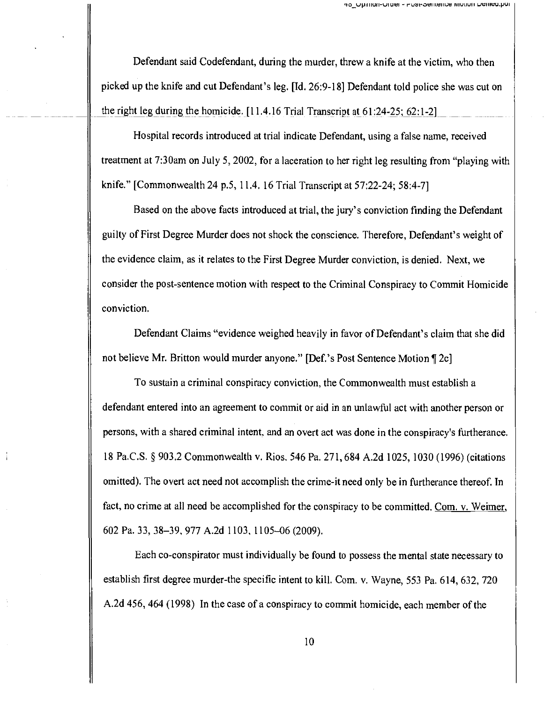Defendant said Codefendant, during the murder, threw a knife at the victim, who then picked up the knife and cut Defendant's leg. [Id. 26:9-18] Defendant told police she was cut on the right leg during the homicide.  $[11.4.16 \text{ Trial Transcript at } 61:24-25; 62:1-2]$ 

Hospital records introduced at trial indicate Defendant, using a false name, received treatment at 7:30am on July 5, 2002, for a laceration to her right leg resulting from "playing with knife." [Commonwealth 24 p.5, 11.4. 16 Trial Transcript at 57:22-24; 58:4-7]

Based on the above facts introduced at trial, the jury's conviction finding the Defendant guilty of First Degree Murder does not shock the conscience. Therefore, Defendant's weight of the evidence claim, as it relates to the First Degree Murder conviction, is denied. Next, we consider the post -sentence motion with respect to the Criminal Conspiracy to Commit Homicide conviction.

Defendant Claims "evidence weighed heavily in favor of Defendant's claim that she did not believe Mr. Britton would murder anyone." [Def.'s Post Sentence Motion ¶ 2c]

To sustain a criminal conspiracy conviction, the Commonwealth must establish a defendant entered into an agreement to commit or aid in an unlawful act with another person or persons, with a shared criminal intent, and an overt act was done in the conspiracy's furtherance. 18 Pa.C.S. § 903.2 Commonwealth v. Rios. 546 Pa. 271, 684 A.2d 1025, 1030 (1996) (citations omitted). The overt act need not accomplish the crime -it need only be in furtherance thereof. In fact, no crime at all need be accomplished for the conspiracy to be committed. Com. v. Weimer, 602 Pa. 33, 38-39, 977 A.2d 1103, 1105-06 (2009).

Each co-conspirator must individually be found to possess the mental state necessary to establish first degree murder-the specific intent to kill. Com. v. Wayne, 553 Pa. 614, 632, 720 A.2d 456, 464 (1998) In the case of a conspiracy to commit homicide, each member of the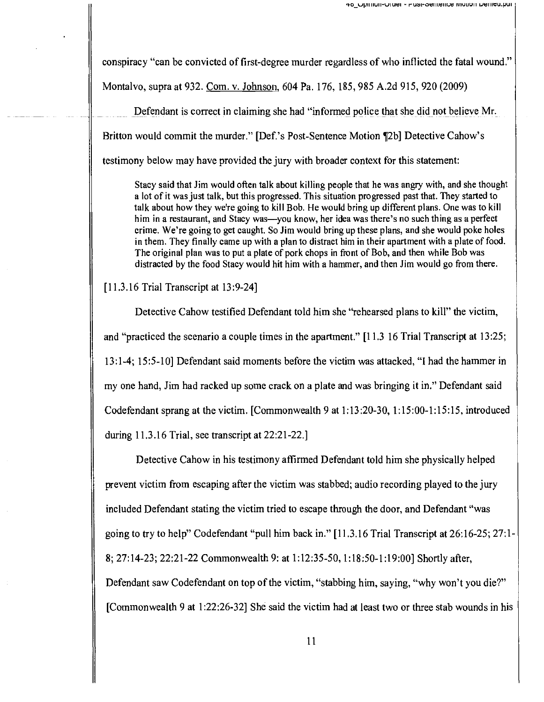conspiracy "can be convicted of first -degree murder regardless of who inflicted the fatal wound."

Montalvo, supra at 932. Com. v. Johnson, 604 Pa. 176, 185, 985 A.2d 915, 920 (2009)

Defendant is correct in claiming she had "informed police that she did not believe Mr. Britton would commit the murder." [Def.'s Post-Sentence Motion [2b] Detective Cahow's testimony below may have provided the jury with broader context for this statement:

Stacy said that Jim would often talk about killing people that he was angry with, and she thought a lot of it was just talk, but this progressed. This situation progressed past that. They started to talk about how they we're going to kill Bob. He would bring up different plans. One was to kill him in a restaurant, and Stacy was—you know, her idea was there's no such thing as a perfect crime. We're going to get caught. So Jim would bring up these plans, and she would poke holes in them. They finally came up with a plan to distract him in their apartment with a plate of food. The original plan was to put a plate of pork chops in front of Bob, and then while Bob was distracted by the food Stacy would hit him with a hammer, and then Jim would go from there.

[11.3.16 Trial Transcript at 13:9-24]

Detective Cahow testified Defendant told him she "rehearsed plans to kill" the victim, and "practiced the scenario a couple times in the apartment." [11.3 16 Trial Transcript at 13:25; 13:1-4; 15:5-10] Defendant said moments before the victim was attacked, "I had the hammer in my one hand, Jim had racked up some crack on a plate and was bringing it in." Defendant said Codefendant sprang at the victim. [Commonwealth 9 at 1:13:20-30, 1:15:00-1:15:15, introduced during 11.3.16 Trial, see transcript at 22:21-22.]

Detective Cahow in his testimony affirmed Defendant told him she physically helped prevent victim from escaping after the victim was stabbed; audio recording played to the jury included Defendant stating the victim tried to escape through the door, and Defendant "was going to try to help" Codefendant "pull him back in." [11.3.16 Trial Transcript at 26:16-25; 27:1- 8; 27:14-23; 22:21-22 Commonwealth 9: at 1:12:35-50, 1:18:50-1:19:00] Shortly after, Defendant saw Codefendant on top of the victim, "stabbing him, saying, "why won't you die?" [Commonwealth 9 at 1:22:26-32] She said the victim had at least two or three stab wounds in his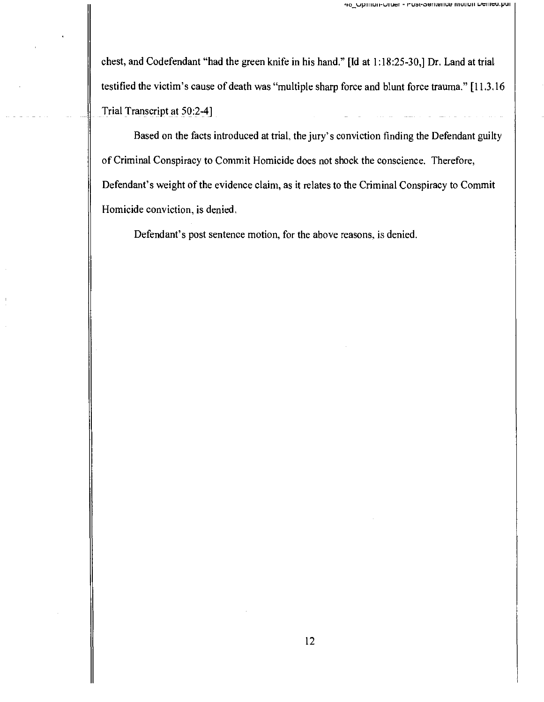chest, and Codefendant "had the green knife in his hand." [Id at 1:18:25-30,] Dr. Land at trial testified the victim's cause of death was "multiple sharp force and blunt force trauma." [11.3.16 Trial Transcript at 50:2-4]

Based on the facts introduced at trial, the jury's conviction finding the Defendant guilty of Criminal Conspiracy to Commit Homicide does not shock the conscience. Therefore, Defendant's weight of the evidence claim, as it relates to the Criminal Conspiracy to Commit Homicide conviction, is denied,

Defendant's post sentence motion, for the above reasons, is denied.